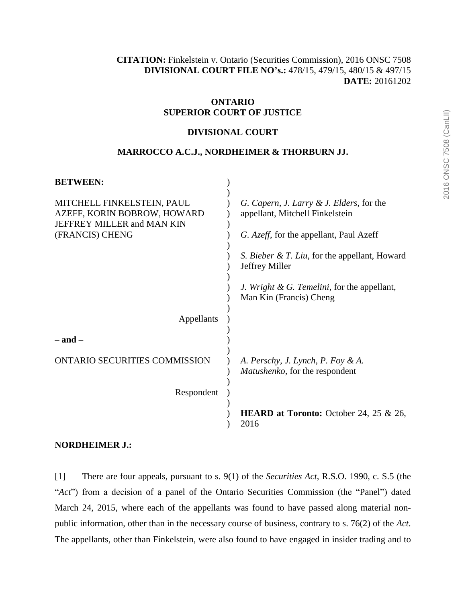**[CITATION:](http://intra.judicialsecurity.jus.gov.on.ca/NeutralCitation/)** Finkelstein v. Ontario (Securities Commission), 2016 ONSC 7508 **DIVISIONAL COURT FILE NO's.:** 478/15, 479/15, 480/15 & 497/15 **DATE:** 20161202

# **ONTARIO SUPERIOR COURT OF JUSTICE**

# **DIVISIONAL COURT**

# **MARROCCO A.C.J., NORDHEIMER & THORBURN JJ.**

| <b>BETWEEN:</b>                                                                         |                                                                             |
|-----------------------------------------------------------------------------------------|-----------------------------------------------------------------------------|
| MITCHELL FINKELSTEIN, PAUL<br>AZEFF, KORIN BOBROW, HOWARD<br>JEFFREY MILLER and MAN KIN | G. Capern, J. Larry & J. Elders, for the<br>appellant, Mitchell Finkelstein |
| (FRANCIS) CHENG                                                                         | G. Azeff, for the appellant, Paul Azeff                                     |
|                                                                                         | <i>S. Bieber &amp; T. Liu, for the appellant, Howard</i><br>Jeffrey Miller  |
|                                                                                         | J. Wright & G. Temelini, for the appellant,<br>Man Kin (Francis) Cheng      |
| Appellants                                                                              |                                                                             |
| – and –                                                                                 |                                                                             |
| <b>ONTARIO SECURITIES COMMISSION</b>                                                    | A. Perschy, J. Lynch, P. Foy & A.<br><i>Matushenko</i> , for the respondent |
| Respondent                                                                              |                                                                             |
|                                                                                         | <b>HEARD at Toronto:</b> October 24, 25 $\&$ 26,<br>2016                    |

# **NORDHEIMER J.:**

[1] There are four appeals, pursuant to s. 9(1) of the *Securities Act*, R.S.O. 1990, c. S.5 (the "*Act*") from a decision of a panel of the Ontario Securities Commission (the "Panel") dated March 24, 2015, where each of the appellants was found to have passed along material nonpublic information, other than in the necessary course of business, contrary to s. 76(2) of the *Act*. The appellants, other than Finkelstein, were also found to have engaged in insider trading and to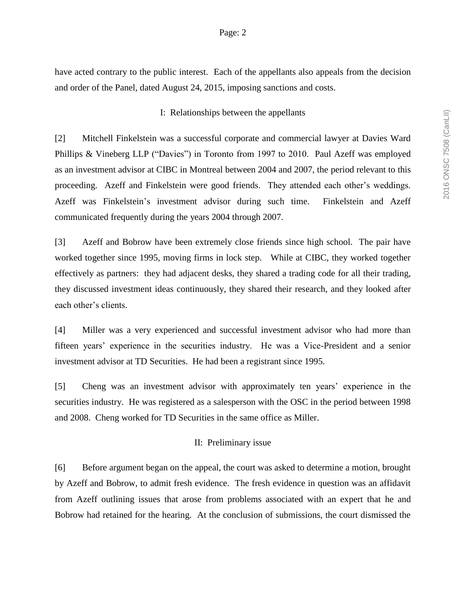have acted contrary to the public interest. Each of the appellants also appeals from the decision and order of the Panel, dated August 24, 2015, imposing sanctions and costs.

# I: Relationships between the appellants

[2] Mitchell Finkelstein was a successful corporate and commercial lawyer at Davies Ward Phillips & Vineberg LLP ("Davies") in Toronto from 1997 to 2010. Paul Azeff was employed as an investment advisor at CIBC in Montreal between 2004 and 2007, the period relevant to this proceeding. Azeff and Finkelstein were good friends. They attended each other's weddings. Azeff was Finkelstein's investment advisor during such time. Finkelstein and Azeff communicated frequently during the years 2004 through 2007.

[3] Azeff and Bobrow have been extremely close friends since high school. The pair have worked together since 1995, moving firms in lock step. While at CIBC, they worked together effectively as partners: they had adjacent desks, they shared a trading code for all their trading, they discussed investment ideas continuously, they shared their research, and they looked after each other's clients.

[4] Miller was a very experienced and successful investment advisor who had more than fifteen years' experience in the securities industry. He was a Vice-President and a senior investment advisor at TD Securities. He had been a registrant since 1995.

[5] Cheng was an investment advisor with approximately ten years' experience in the securities industry. He was registered as a salesperson with the OSC in the period between 1998 and 2008. Cheng worked for TD Securities in the same office as Miller.

### II: Preliminary issue

[6] Before argument began on the appeal, the court was asked to determine a motion, brought by Azeff and Bobrow, to admit fresh evidence. The fresh evidence in question was an affidavit from Azeff outlining issues that arose from problems associated with an expert that he and Bobrow had retained for the hearing. At the conclusion of submissions, the court dismissed the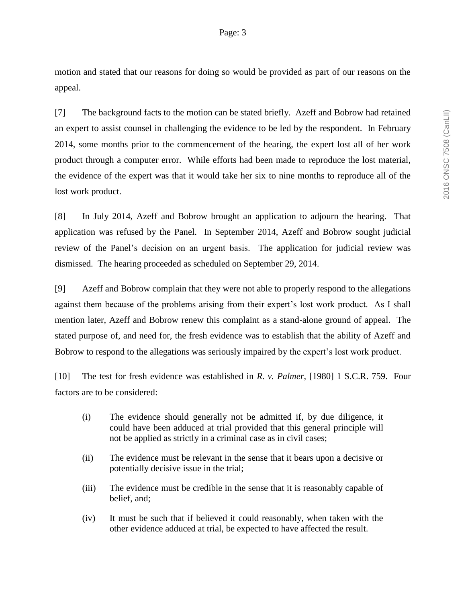motion and stated that our reasons for doing so would be provided as part of our reasons on the appeal.

[7] The background facts to the motion can be stated briefly. Azeff and Bobrow had retained an expert to assist counsel in challenging the evidence to be led by the respondent. In February 2014, some months prior to the commencement of the hearing, the expert lost all of her work product through a computer error. While efforts had been made to reproduce the lost material, the evidence of the expert was that it would take her six to nine months to reproduce all of the lost work product.

[8] In July 2014, Azeff and Bobrow brought an application to adjourn the hearing. That application was refused by the Panel. In September 2014, Azeff and Bobrow sought judicial review of the Panel's decision on an urgent basis. The application for judicial review was dismissed. The hearing proceeded as scheduled on September 29, 2014.

[9] Azeff and Bobrow complain that they were not able to properly respond to the allegations against them because of the problems arising from their expert's lost work product. As I shall mention later, Azeff and Bobrow renew this complaint as a stand-alone ground of appeal. The stated purpose of, and need for, the fresh evidence was to establish that the ability of Azeff and Bobrow to respond to the allegations was seriously impaired by the expert's lost work product.

[10] The test for fresh evidence was established in *R. v. Palmer*, [1980] 1 S.C.R. 759. Four factors are to be considered:

- (i) The evidence should generally not be admitted if, by due diligence, it could have been adduced at trial provided that this general principle will not be applied as strictly in a criminal case as in civil cases;
- (ii) The evidence must be relevant in the sense that it bears upon a decisive or potentially decisive issue in the trial;
- (iii) The evidence must be credible in the sense that it is reasonably capable of belief, and;
- (iv) It must be such that if believed it could reasonably, when taken with the other evidence adduced at trial, be expected to have affected the result.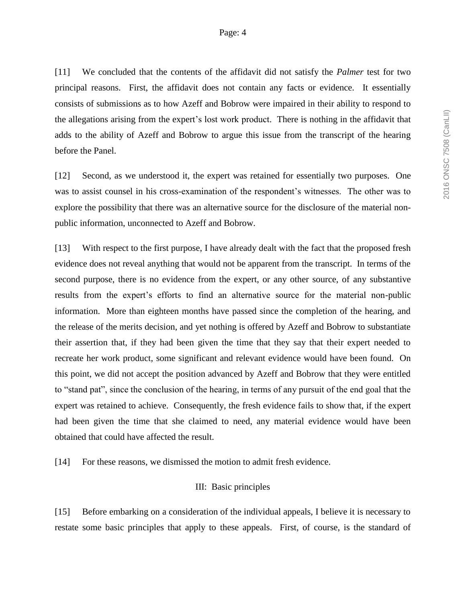[11] We concluded that the contents of the affidavit did not satisfy the *Palmer* test for two principal reasons. First, the affidavit does not contain any facts or evidence. It essentially consists of submissions as to how Azeff and Bobrow were impaired in their ability to respond to the allegations arising from the expert's lost work product. There is nothing in the affidavit that adds to the ability of Azeff and Bobrow to argue this issue from the transcript of the hearing before the Panel.

[12] Second, as we understood it, the expert was retained for essentially two purposes. One was to assist counsel in his cross-examination of the respondent's witnesses. The other was to explore the possibility that there was an alternative source for the disclosure of the material nonpublic information, unconnected to Azeff and Bobrow.

[13] With respect to the first purpose, I have already dealt with the fact that the proposed fresh evidence does not reveal anything that would not be apparent from the transcript. In terms of the second purpose, there is no evidence from the expert, or any other source, of any substantive results from the expert's efforts to find an alternative source for the material non-public information. More than eighteen months have passed since the completion of the hearing, and the release of the merits decision, and yet nothing is offered by Azeff and Bobrow to substantiate their assertion that, if they had been given the time that they say that their expert needed to recreate her work product, some significant and relevant evidence would have been found. On this point, we did not accept the position advanced by Azeff and Bobrow that they were entitled to "stand pat", since the conclusion of the hearing, in terms of any pursuit of the end goal that the expert was retained to achieve. Consequently, the fresh evidence fails to show that, if the expert had been given the time that she claimed to need, any material evidence would have been obtained that could have affected the result.

[14] For these reasons, we dismissed the motion to admit fresh evidence.

### III: Basic principles

[15] Before embarking on a consideration of the individual appeals, I believe it is necessary to restate some basic principles that apply to these appeals. First, of course, is the standard of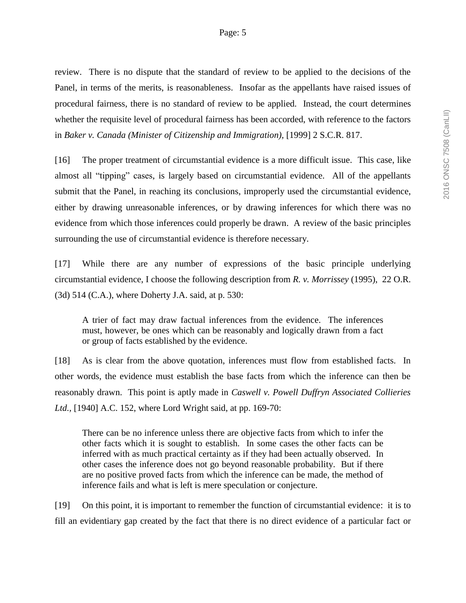review. There is no dispute that the standard of review to be applied to the decisions of the Panel, in terms of the merits, is reasonableness. Insofar as the appellants have raised issues of procedural fairness, there is no standard of review to be applied. Instead, the court determines whether the requisite level of procedural fairness has been accorded, with reference to the factors in *Baker v. Canada (Minister of Citizenship and Immigration),* [1999] 2 S.C.R. 817.

[16] The proper treatment of circumstantial evidence is a more difficult issue. This case, like almost all "tipping" cases, is largely based on circumstantial evidence. All of the appellants submit that the Panel, in reaching its conclusions, improperly used the circumstantial evidence, either by drawing unreasonable inferences, or by drawing inferences for which there was no evidence from which those inferences could properly be drawn. A review of the basic principles surrounding the use of circumstantial evidence is therefore necessary.

[17] While there are any number of expressions of the basic principle underlying circumstantial evidence, I choose the following description from *R. v. Morrissey* (1995), 22 O.R. (3d) 514 (C.A.), where Doherty J.A. said, at p. 530:

A trier of fact may draw factual inferences from the evidence. The inferences must, however, be ones which can be reasonably and logically drawn from a fact or group of facts established by the evidence.

[18] As is clear from the above quotation, inferences must flow from established facts. In other words, the evidence must establish the base facts from which the inference can then be reasonably drawn. This point is aptly made in *Caswell v. Powell Duffryn Associated Collieries Ltd.,* [1940] A.C. 152, where Lord Wright said, at pp. 169-70:

There can be no inference unless there are objective facts from which to infer the other facts which it is sought to establish. In some cases the other facts can be inferred with as much practical certainty as if they had been actually observed. In other cases the inference does not go beyond reasonable probability. But if there are no positive proved facts from which the inference can be made, the method of inference fails and what is left is mere speculation or conjecture.

[19] On this point, it is important to remember the function of circumstantial evidence: it is to fill an evidentiary gap created by the fact that there is no direct evidence of a particular fact or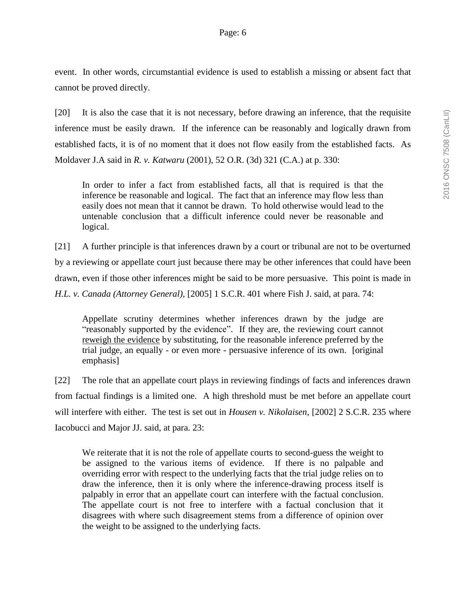event. In other words, circumstantial evidence is used to establish a missing or absent fact that cannot be proved directly.

[20] It is also the case that it is not necessary, before drawing an inference, that the requisite inference must be easily drawn. If the inference can be reasonably and logically drawn from established facts, it is of no moment that it does not flow easily from the established facts. As Moldaver J.A said in *R. v. Katwaru* (2001), 52 O.R. (3d) 321 (C.A.) at p. 330:

In order to infer a fact from established facts, all that is required is that the inference be reasonable and logical. The fact that an inference may flow less than easily does not mean that it cannot be drawn. To hold otherwise would lead to the untenable conclusion that a difficult inference could never be reasonable and logical.

[21] A further principle is that inferences drawn by a court or tribunal are not to be overturned by a reviewing or appellate court just because there may be other inferences that could have been drawn, even if those other inferences might be said to be more persuasive. This point is made in *H.L. v. Canada (Attorney General),* [2005] 1 S.C.R. 401 where Fish J. said, at para. 74:

Appellate scrutiny determines whether inferences drawn by the judge are "reasonably supported by the evidence". If they are, the reviewing court cannot reweigh the evidence by substituting, for the reasonable inference preferred by the trial judge, an equally - or even more - persuasive inference of its own. [original emphasis]

[22] The role that an appellate court plays in reviewing findings of facts and inferences drawn from factual findings is a limited one. A high threshold must be met before an appellate court will interfere with either. The test is set out in *Housen v. Nikolaisen*, [2002] 2 S.C.R. 235 where Iacobucci and Major JJ. said, at para. 23:

We reiterate that it is not the role of appellate courts to second-guess the weight to be assigned to the various items of evidence. If there is no palpable and overriding error with respect to the underlying facts that the trial judge relies on to draw the inference, then it is only where the inference-drawing process itself is palpably in error that an appellate court can interfere with the factual conclusion. The appellate court is not free to interfere with a factual conclusion that it disagrees with where such disagreement stems from a difference of opinion over the weight to be assigned to the underlying facts.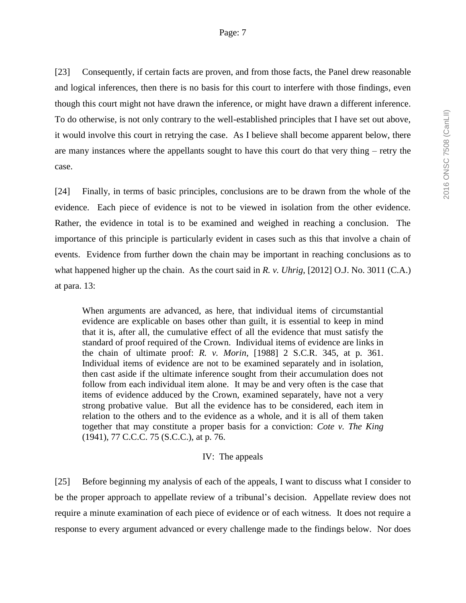[23] Consequently, if certain facts are proven, and from those facts, the Panel drew reasonable and logical inferences, then there is no basis for this court to interfere with those findings, even though this court might not have drawn the inference, or might have drawn a different inference. To do otherwise, is not only contrary to the well-established principles that I have set out above, it would involve this court in retrying the case. As I believe shall become apparent below, there are many instances where the appellants sought to have this court do that very thing – retry the case.

[24] Finally, in terms of basic principles, conclusions are to be drawn from the whole of the evidence. Each piece of evidence is not to be viewed in isolation from the other evidence. Rather, the evidence in total is to be examined and weighed in reaching a conclusion. The importance of this principle is particularly evident in cases such as this that involve a chain of events. Evidence from further down the chain may be important in reaching conclusions as to what happened higher up the chain. As the court said in *R. v. Uhrig*, [2012] O.J. No. 3011 (C.A.) at para. 13:

When arguments are advanced, as here, that individual items of circumstantial evidence are explicable on bases other than guilt, it is essential to keep in mind that it is, after all, the cumulative effect of all the evidence that must satisfy the standard of proof required of the Crown. Individual items of evidence are links in the chain of ultimate proof: *R. v. Morin*, [1988] 2 S.C.R. 345, at p. 361. Individual items of evidence are not to be examined separately and in isolation, then cast aside if the ultimate inference sought from their accumulation does not follow from each individual item alone. It may be and very often is the case that items of evidence adduced by the Crown, examined separately, have not a very strong probative value. But all the evidence has to be considered, each item in relation to the others and to the evidence as a whole, and it is all of them taken together that may constitute a proper basis for a conviction: *Cote v. The King* (1941), 77 C.C.C. 75 (S.C.C.), at p. 76.

#### IV: The appeals

[25] Before beginning my analysis of each of the appeals, I want to discuss what I consider to be the proper approach to appellate review of a tribunal's decision. Appellate review does not require a minute examination of each piece of evidence or of each witness. It does not require a response to every argument advanced or every challenge made to the findings below. Nor does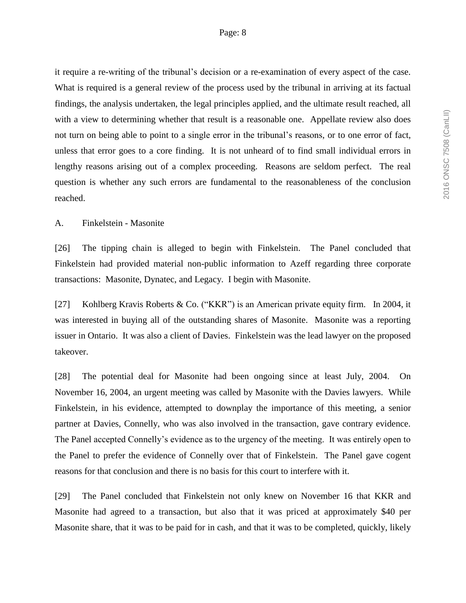it require a re-writing of the tribunal's decision or a re-examination of every aspect of the case. What is required is a general review of the process used by the tribunal in arriving at its factual findings, the analysis undertaken, the legal principles applied, and the ultimate result reached, all with a view to determining whether that result is a reasonable one. Appellate review also does not turn on being able to point to a single error in the tribunal's reasons, or to one error of fact, unless that error goes to a core finding. It is not unheard of to find small individual errors in lengthy reasons arising out of a complex proceeding. Reasons are seldom perfect. The real question is whether any such errors are fundamental to the reasonableness of the conclusion reached.

#### A. Finkelstein - Masonite

[26] The tipping chain is alleged to begin with Finkelstein. The Panel concluded that Finkelstein had provided material non-public information to Azeff regarding three corporate transactions: Masonite, Dynatec, and Legacy. I begin with Masonite.

[27] Kohlberg Kravis Roberts & Co. ("KKR") is an American private equity firm. In 2004, it was interested in buying all of the outstanding shares of Masonite. Masonite was a reporting issuer in Ontario. It was also a client of Davies. Finkelstein was the lead lawyer on the proposed takeover.

[28] The potential deal for Masonite had been ongoing since at least July, 2004. On November 16, 2004, an urgent meeting was called by Masonite with the Davies lawyers. While Finkelstein, in his evidence, attempted to downplay the importance of this meeting, a senior partner at Davies, Connelly, who was also involved in the transaction, gave contrary evidence. The Panel accepted Connelly's evidence as to the urgency of the meeting. It was entirely open to the Panel to prefer the evidence of Connelly over that of Finkelstein. The Panel gave cogent reasons for that conclusion and there is no basis for this court to interfere with it.

[29] The Panel concluded that Finkelstein not only knew on November 16 that KKR and Masonite had agreed to a transaction, but also that it was priced at approximately \$40 per Masonite share, that it was to be paid for in cash, and that it was to be completed, quickly, likely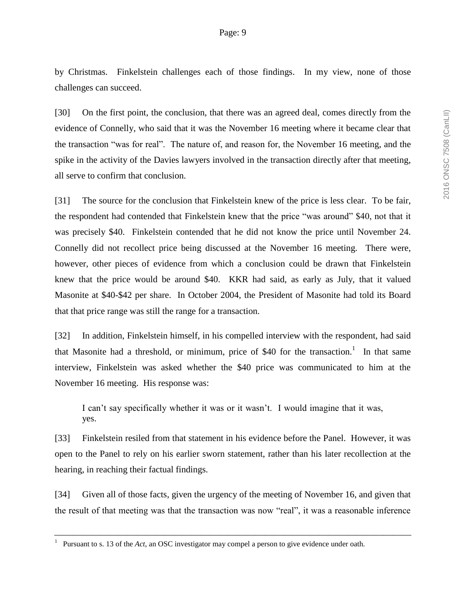by Christmas. Finkelstein challenges each of those findings. In my view, none of those challenges can succeed.

[30] On the first point, the conclusion, that there was an agreed deal, comes directly from the evidence of Connelly, who said that it was the November 16 meeting where it became clear that the transaction "was for real". The nature of, and reason for, the November 16 meeting, and the spike in the activity of the Davies lawyers involved in the transaction directly after that meeting, all serve to confirm that conclusion.

[31] The source for the conclusion that Finkelstein knew of the price is less clear. To be fair, the respondent had contended that Finkelstein knew that the price "was around" \$40, not that it was precisely \$40. Finkelstein contended that he did not know the price until November 24. Connelly did not recollect price being discussed at the November 16 meeting. There were, however, other pieces of evidence from which a conclusion could be drawn that Finkelstein knew that the price would be around \$40. KKR had said, as early as July, that it valued Masonite at \$40-\$42 per share. In October 2004, the President of Masonite had told its Board that that price range was still the range for a transaction.

[32] In addition, Finkelstein himself, in his compelled interview with the respondent, had said that Masonite had a threshold, or minimum, price of \$40 for the transaction.<sup>1</sup> In that same interview, Finkelstein was asked whether the \$40 price was communicated to him at the November 16 meeting. His response was:

I can't say specifically whether it was or it wasn't. I would imagine that it was, yes.

[33] Finkelstein resiled from that statement in his evidence before the Panel. However, it was open to the Panel to rely on his earlier sworn statement, rather than his later recollection at the hearing, in reaching their factual findings.

[34] Given all of those facts, given the urgency of the meeting of November 16, and given that the result of that meeting was that the transaction was now "real", it was a reasonable inference

<sup>1</sup> Pursuant to s. 13 of the *Act*, an OSC investigator may compel a person to give evidence under oath.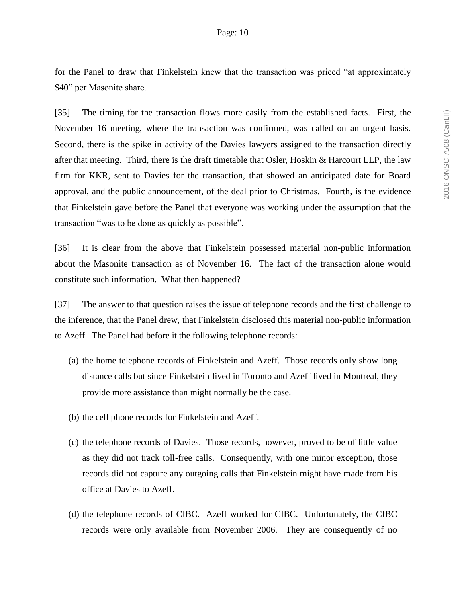for the Panel to draw that Finkelstein knew that the transaction was priced "at approximately \$40" per Masonite share.

[35] The timing for the transaction flows more easily from the established facts. First, the November 16 meeting, where the transaction was confirmed, was called on an urgent basis. Second, there is the spike in activity of the Davies lawyers assigned to the transaction directly after that meeting. Third, there is the draft timetable that Osler, Hoskin & Harcourt LLP, the law firm for KKR, sent to Davies for the transaction, that showed an anticipated date for Board approval, and the public announcement, of the deal prior to Christmas. Fourth, is the evidence that Finkelstein gave before the Panel that everyone was working under the assumption that the transaction "was to be done as quickly as possible".

[36] It is clear from the above that Finkelstein possessed material non-public information about the Masonite transaction as of November 16. The fact of the transaction alone would constitute such information. What then happened?

[37] The answer to that question raises the issue of telephone records and the first challenge to the inference, that the Panel drew, that Finkelstein disclosed this material non-public information to Azeff. The Panel had before it the following telephone records:

- (a) the home telephone records of Finkelstein and Azeff. Those records only show long distance calls but since Finkelstein lived in Toronto and Azeff lived in Montreal, they provide more assistance than might normally be the case.
- (b) the cell phone records for Finkelstein and Azeff.
- (c) the telephone records of Davies. Those records, however, proved to be of little value as they did not track toll-free calls. Consequently, with one minor exception, those records did not capture any outgoing calls that Finkelstein might have made from his office at Davies to Azeff.
- (d) the telephone records of CIBC. Azeff worked for CIBC. Unfortunately, the CIBC records were only available from November 2006. They are consequently of no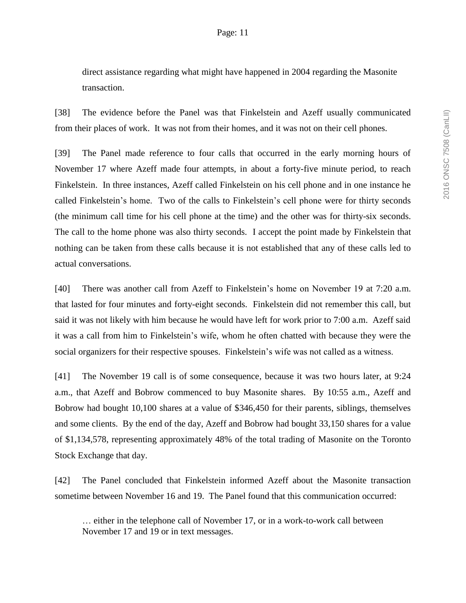direct assistance regarding what might have happened in 2004 regarding the Masonite transaction.

[38] The evidence before the Panel was that Finkelstein and Azeff usually communicated from their places of work. It was not from their homes, and it was not on their cell phones.

[39] The Panel made reference to four calls that occurred in the early morning hours of November 17 where Azeff made four attempts, in about a forty-five minute period, to reach Finkelstein. In three instances, Azeff called Finkelstein on his cell phone and in one instance he called Finkelstein's home. Two of the calls to Finkelstein's cell phone were for thirty seconds (the minimum call time for his cell phone at the time) and the other was for thirty-six seconds. The call to the home phone was also thirty seconds. I accept the point made by Finkelstein that nothing can be taken from these calls because it is not established that any of these calls led to actual conversations.

[40] There was another call from Azeff to Finkelstein's home on November 19 at 7:20 a.m. that lasted for four minutes and forty-eight seconds. Finkelstein did not remember this call, but said it was not likely with him because he would have left for work prior to 7:00 a.m. Azeff said it was a call from him to Finkelstein's wife, whom he often chatted with because they were the social organizers for their respective spouses. Finkelstein's wife was not called as a witness.

[41] The November 19 call is of some consequence, because it was two hours later, at 9:24 a.m., that Azeff and Bobrow commenced to buy Masonite shares. By 10:55 a.m., Azeff and Bobrow had bought 10,100 shares at a value of \$346,450 for their parents, siblings, themselves and some clients. By the end of the day, Azeff and Bobrow had bought 33,150 shares for a value of \$1,134,578, representing approximately 48% of the total trading of Masonite on the Toronto Stock Exchange that day.

[42] The Panel concluded that Finkelstein informed Azeff about the Masonite transaction sometime between November 16 and 19. The Panel found that this communication occurred:

… either in the telephone call of November 17, or in a work-to-work call between November 17 and 19 or in text messages.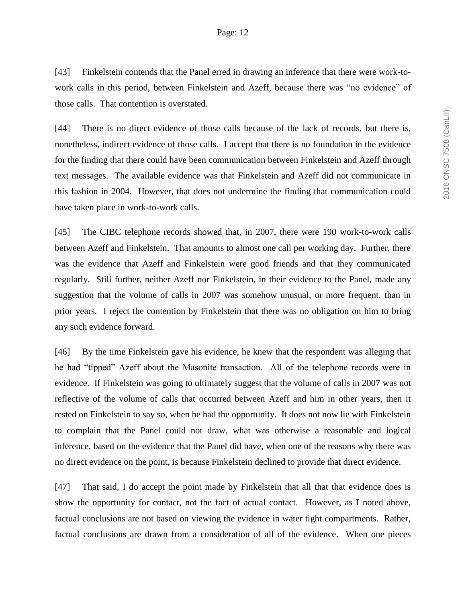[43] Finkelstein contends that the Panel erred in drawing an inference that there were work-towork calls in this period, between Finkelstein and Azeff, because there was "no evidence" of those calls. That contention is overstated.

[44] There is no direct evidence of those calls because of the lack of records, but there is, nonetheless, indirect evidence of those calls. I accept that there is no foundation in the evidence for the finding that there could have been communication between Finkelstein and Azeff through text messages. The available evidence was that Finkelstein and Azeff did not communicate in this fashion in 2004. However, that does not undermine the finding that communication could have taken place in work-to-work calls.

[45] The CIBC telephone records showed that, in 2007, there were 190 work-to-work calls between Azeff and Finkelstein. That amounts to almost one call per working day. Further, there was the evidence that Azeff and Finkelstein were good friends and that they communicated regularly. Still further, neither Azeff nor Finkelstein, in their evidence to the Panel, made any suggestion that the volume of calls in 2007 was somehow unusual, or more frequent, than in prior years. I reject the contention by Finkelstein that there was no obligation on him to bring any such evidence forward.

[46] By the time Finkelstein gave his evidence, he knew that the respondent was alleging that he had "tipped" Azeff about the Masonite transaction. All of the telephone records were in evidence. If Finkelstein was going to ultimately suggest that the volume of calls in 2007 was not reflective of the volume of calls that occurred between Azeff and him in other years, then it rested on Finkelstein to say so, when he had the opportunity. It does not now lie with Finkelstein to complain that the Panel could not draw, what was otherwise a reasonable and logical inference, based on the evidence that the Panel did have, when one of the reasons why there was no direct evidence on the point, is because Finkelstein declined to provide that direct evidence.

[47] That said, I do accept the point made by Finkelstein that all that that evidence does is show the opportunity for contact, not the fact of actual contact. However, as I noted above, factual conclusions are not based on viewing the evidence in water tight compartments. Rather, factual conclusions are drawn from a consideration of all of the evidence. When one pieces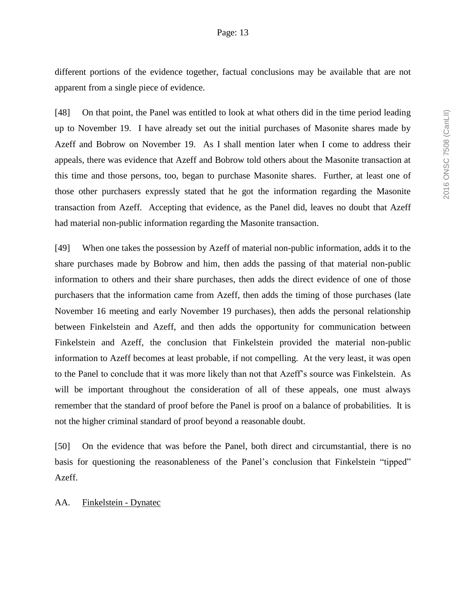different portions of the evidence together, factual conclusions may be available that are not apparent from a single piece of evidence.

[48] On that point, the Panel was entitled to look at what others did in the time period leading up to November 19. I have already set out the initial purchases of Masonite shares made by Azeff and Bobrow on November 19. As I shall mention later when I come to address their appeals, there was evidence that Azeff and Bobrow told others about the Masonite transaction at this time and those persons, too, began to purchase Masonite shares. Further, at least one of those other purchasers expressly stated that he got the information regarding the Masonite transaction from Azeff. Accepting that evidence, as the Panel did, leaves no doubt that Azeff had material non-public information regarding the Masonite transaction.

[49] When one takes the possession by Azeff of material non-public information, adds it to the share purchases made by Bobrow and him, then adds the passing of that material non-public information to others and their share purchases, then adds the direct evidence of one of those purchasers that the information came from Azeff, then adds the timing of those purchases (late November 16 meeting and early November 19 purchases), then adds the personal relationship between Finkelstein and Azeff, and then adds the opportunity for communication between Finkelstein and Azeff, the conclusion that Finkelstein provided the material non-public information to Azeff becomes at least probable, if not compelling. At the very least, it was open to the Panel to conclude that it was more likely than not that Azeff's source was Finkelstein. As will be important throughout the consideration of all of these appeals, one must always remember that the standard of proof before the Panel is proof on a balance of probabilities. It is not the higher criminal standard of proof beyond a reasonable doubt.

[50] On the evidence that was before the Panel, both direct and circumstantial, there is no basis for questioning the reasonableness of the Panel's conclusion that Finkelstein "tipped" Azeff.

#### AA. Finkelstein - Dynatec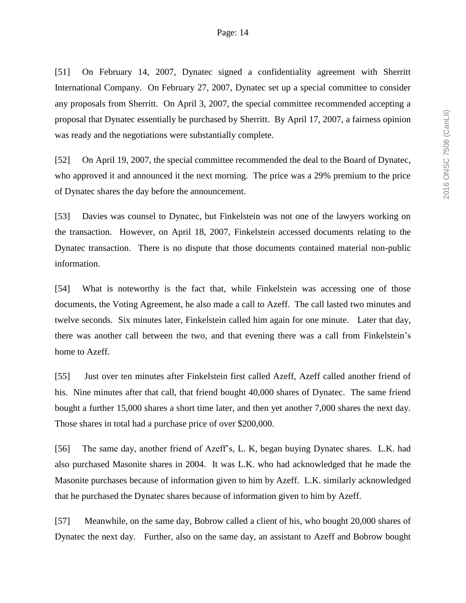[51] On February 14, 2007, Dynatec signed a confidentiality agreement with Sherritt International Company. On February 27, 2007, Dynatec set up a special committee to consider any proposals from Sherritt. On April 3, 2007, the special committee recommended accepting a proposal that Dynatec essentially be purchased by Sherritt. By April 17, 2007, a fairness opinion was ready and the negotiations were substantially complete.

[52] On April 19, 2007, the special committee recommended the deal to the Board of Dynatec, who approved it and announced it the next morning. The price was a 29% premium to the price of Dynatec shares the day before the announcement.

[53] Davies was counsel to Dynatec, but Finkelstein was not one of the lawyers working on the transaction. However, on April 18, 2007, Finkelstein accessed documents relating to the Dynatec transaction. There is no dispute that those documents contained material non-public information.

[54] What is noteworthy is the fact that, while Finkelstein was accessing one of those documents, the Voting Agreement, he also made a call to Azeff. The call lasted two minutes and twelve seconds. Six minutes later, Finkelstein called him again for one minute. Later that day, there was another call between the two, and that evening there was a call from Finkelstein's home to Azeff.

[55] Just over ten minutes after Finkelstein first called Azeff, Azeff called another friend of his. Nine minutes after that call, that friend bought 40,000 shares of Dynatec. The same friend bought a further 15,000 shares a short time later, and then yet another 7,000 shares the next day. Those shares in total had a purchase price of over \$200,000.

[56] The same day, another friend of Azeff's, L. K, began buying Dynatec shares. L.K. had also purchased Masonite shares in 2004. It was L.K. who had acknowledged that he made the Masonite purchases because of information given to him by Azeff. L.K. similarly acknowledged that he purchased the Dynatec shares because of information given to him by Azeff.

[57] Meanwhile, on the same day, Bobrow called a client of his, who bought 20,000 shares of Dynatec the next day. Further, also on the same day, an assistant to Azeff and Bobrow bought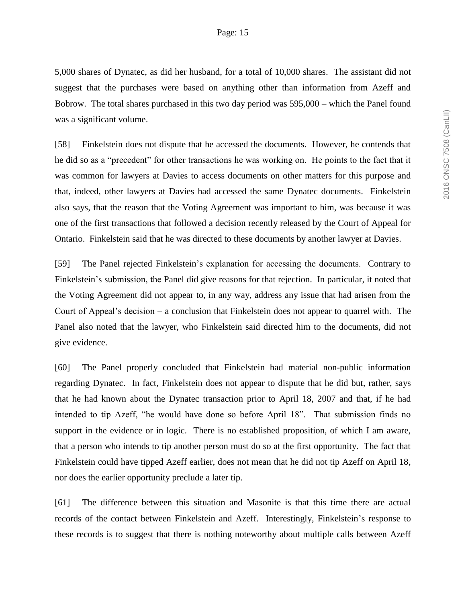5,000 shares of Dynatec, as did her husband, for a total of 10,000 shares. The assistant did not suggest that the purchases were based on anything other than information from Azeff and Bobrow. The total shares purchased in this two day period was 595,000 – which the Panel found was a significant volume.

[58] Finkelstein does not dispute that he accessed the documents. However, he contends that he did so as a "precedent" for other transactions he was working on. He points to the fact that it was common for lawyers at Davies to access documents on other matters for this purpose and that, indeed, other lawyers at Davies had accessed the same Dynatec documents. Finkelstein also says, that the reason that the Voting Agreement was important to him, was because it was one of the first transactions that followed a decision recently released by the Court of Appeal for Ontario. Finkelstein said that he was directed to these documents by another lawyer at Davies.

[59] The Panel rejected Finkelstein's explanation for accessing the documents. Contrary to Finkelstein's submission, the Panel did give reasons for that rejection. In particular, it noted that the Voting Agreement did not appear to, in any way, address any issue that had arisen from the Court of Appeal's decision – a conclusion that Finkelstein does not appear to quarrel with. The Panel also noted that the lawyer, who Finkelstein said directed him to the documents, did not give evidence.

[60] The Panel properly concluded that Finkelstein had material non-public information regarding Dynatec. In fact, Finkelstein does not appear to dispute that he did but, rather, says that he had known about the Dynatec transaction prior to April 18, 2007 and that, if he had intended to tip Azeff, "he would have done so before April 18". That submission finds no support in the evidence or in logic. There is no established proposition, of which I am aware, that a person who intends to tip another person must do so at the first opportunity. The fact that Finkelstein could have tipped Azeff earlier, does not mean that he did not tip Azeff on April 18, nor does the earlier opportunity preclude a later tip.

[61] The difference between this situation and Masonite is that this time there are actual records of the contact between Finkelstein and Azeff. Interestingly, Finkelstein's response to these records is to suggest that there is nothing noteworthy about multiple calls between Azeff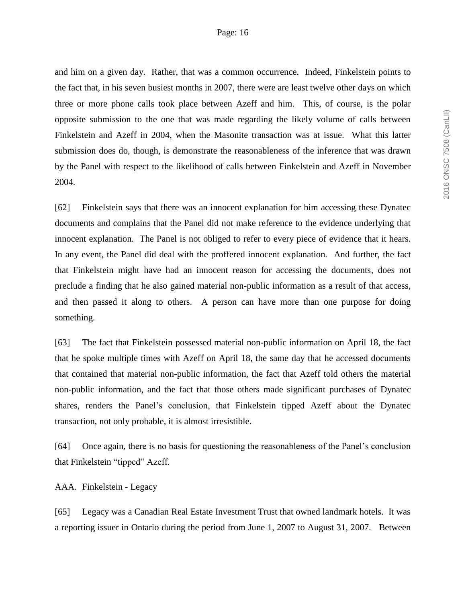and him on a given day. Rather, that was a common occurrence. Indeed, Finkelstein points to the fact that, in his seven busiest months in 2007, there were are least twelve other days on which three or more phone calls took place between Azeff and him. This, of course, is the polar opposite submission to the one that was made regarding the likely volume of calls between Finkelstein and Azeff in 2004, when the Masonite transaction was at issue. What this latter submission does do, though, is demonstrate the reasonableness of the inference that was drawn by the Panel with respect to the likelihood of calls between Finkelstein and Azeff in November 2004.

[62] Finkelstein says that there was an innocent explanation for him accessing these Dynatec documents and complains that the Panel did not make reference to the evidence underlying that innocent explanation. The Panel is not obliged to refer to every piece of evidence that it hears. In any event, the Panel did deal with the proffered innocent explanation. And further, the fact that Finkelstein might have had an innocent reason for accessing the documents, does not preclude a finding that he also gained material non-public information as a result of that access, and then passed it along to others. A person can have more than one purpose for doing something.

[63] The fact that Finkelstein possessed material non-public information on April 18, the fact that he spoke multiple times with Azeff on April 18, the same day that he accessed documents that contained that material non-public information, the fact that Azeff told others the material non-public information, and the fact that those others made significant purchases of Dynatec shares, renders the Panel's conclusion, that Finkelstein tipped Azeff about the Dynatec transaction, not only probable, it is almost irresistible.

[64] Once again, there is no basis for questioning the reasonableness of the Panel's conclusion that Finkelstein "tipped" Azeff.

#### AAA. Finkelstein - Legacy

[65] Legacy was a Canadian Real Estate Investment Trust that owned landmark hotels. It was a reporting issuer in Ontario during the period from June 1, 2007 to August 31, 2007. Between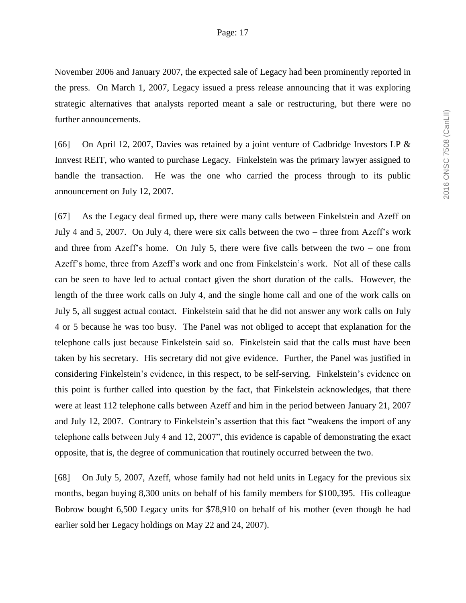November 2006 and January 2007, the expected sale of Legacy had been prominently reported in the press. On March 1, 2007, Legacy issued a press release announcing that it was exploring strategic alternatives that analysts reported meant a sale or restructuring, but there were no further announcements.

[66] On April 12, 2007, Davies was retained by a joint venture of Cadbridge Investors LP & Innvest REIT, who wanted to purchase Legacy. Finkelstein was the primary lawyer assigned to handle the transaction. He was the one who carried the process through to its public announcement on July 12, 2007.

[67] As the Legacy deal firmed up, there were many calls between Finkelstein and Azeff on July 4 and 5, 2007. On July 4, there were six calls between the two – three from Azeff's work and three from Azeff's home. On July 5, there were five calls between the two – one from Azeff's home, three from Azeff's work and one from Finkelstein's work. Not all of these calls can be seen to have led to actual contact given the short duration of the calls. However, the length of the three work calls on July 4, and the single home call and one of the work calls on July 5, all suggest actual contact. Finkelstein said that he did not answer any work calls on July 4 or 5 because he was too busy. The Panel was not obliged to accept that explanation for the telephone calls just because Finkelstein said so. Finkelstein said that the calls must have been taken by his secretary. His secretary did not give evidence. Further, the Panel was justified in considering Finkelstein's evidence, in this respect, to be self-serving. Finkelstein's evidence on this point is further called into question by the fact, that Finkelstein acknowledges, that there were at least 112 telephone calls between Azeff and him in the period between January 21, 2007 and July 12, 2007. Contrary to Finkelstein's assertion that this fact "weakens the import of any telephone calls between July 4 and 12, 2007", this evidence is capable of demonstrating the exact opposite, that is, the degree of communication that routinely occurred between the two.

[68] On July 5, 2007, Azeff, whose family had not held units in Legacy for the previous six months, began buying 8,300 units on behalf of his family members for \$100,395. His colleague Bobrow bought 6,500 Legacy units for \$78,910 on behalf of his mother (even though he had earlier sold her Legacy holdings on May 22 and 24, 2007).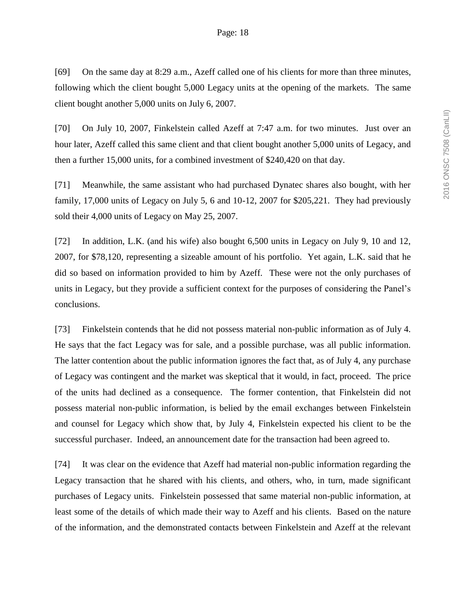[69] On the same day at 8:29 a.m., Azeff called one of his clients for more than three minutes, following which the client bought 5,000 Legacy units at the opening of the markets. The same client bought another 5,000 units on July 6, 2007.

[70] On July 10, 2007, Finkelstein called Azeff at 7:47 a.m. for two minutes. Just over an hour later, Azeff called this same client and that client bought another 5,000 units of Legacy, and then a further 15,000 units, for a combined investment of \$240,420 on that day.

[71] Meanwhile, the same assistant who had purchased Dynatec shares also bought, with her family, 17,000 units of Legacy on July 5, 6 and 10-12, 2007 for \$205,221. They had previously sold their 4,000 units of Legacy on May 25, 2007.

[72] In addition, L.K. (and his wife) also bought 6,500 units in Legacy on July 9, 10 and 12, 2007, for \$78,120, representing a sizeable amount of his portfolio. Yet again, L.K. said that he did so based on information provided to him by Azeff. These were not the only purchases of units in Legacy, but they provide a sufficient context for the purposes of considering the Panel's conclusions.

[73] Finkelstein contends that he did not possess material non-public information as of July 4. He says that the fact Legacy was for sale, and a possible purchase, was all public information. The latter contention about the public information ignores the fact that, as of July 4, any purchase of Legacy was contingent and the market was skeptical that it would, in fact, proceed. The price of the units had declined as a consequence. The former contention, that Finkelstein did not possess material non-public information, is belied by the email exchanges between Finkelstein and counsel for Legacy which show that, by July 4, Finkelstein expected his client to be the successful purchaser. Indeed, an announcement date for the transaction had been agreed to.

[74] It was clear on the evidence that Azeff had material non-public information regarding the Legacy transaction that he shared with his clients, and others, who, in turn, made significant purchases of Legacy units. Finkelstein possessed that same material non-public information, at least some of the details of which made their way to Azeff and his clients. Based on the nature of the information, and the demonstrated contacts between Finkelstein and Azeff at the relevant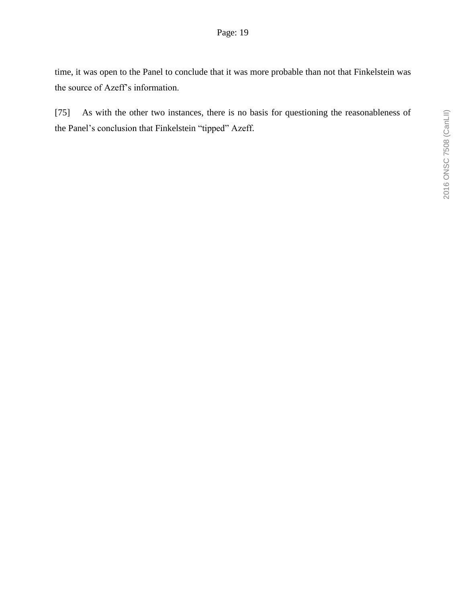time, it was open to the Panel to conclude that it was more probable than not that Finkelstein was the source of Azeff's information.

[75] As with the other two instances, there is no basis for questioning the reasonableness of the Panel's conclusion that Finkelstein "tipped" Azeff.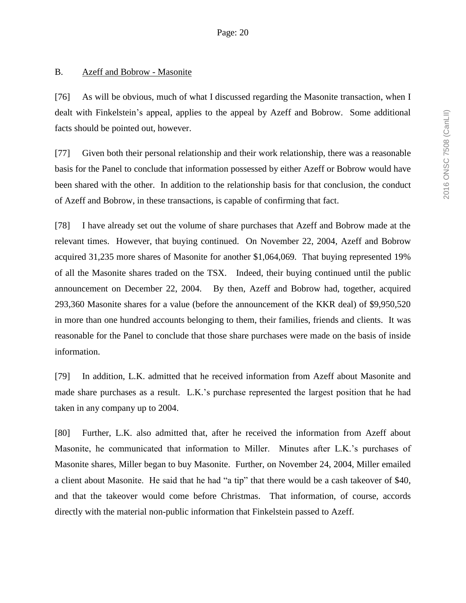## B. Azeff and Bobrow - Masonite

[76] As will be obvious, much of what I discussed regarding the Masonite transaction, when I dealt with Finkelstein's appeal, applies to the appeal by Azeff and Bobrow. Some additional facts should be pointed out, however.

[77] Given both their personal relationship and their work relationship, there was a reasonable basis for the Panel to conclude that information possessed by either Azeff or Bobrow would have been shared with the other. In addition to the relationship basis for that conclusion, the conduct of Azeff and Bobrow, in these transactions, is capable of confirming that fact.

[78] I have already set out the volume of share purchases that Azeff and Bobrow made at the relevant times. However, that buying continued. On November 22, 2004, Azeff and Bobrow acquired 31,235 more shares of Masonite for another \$1,064,069. That buying represented 19% of all the Masonite shares traded on the TSX. Indeed, their buying continued until the public announcement on December 22, 2004. By then, Azeff and Bobrow had, together, acquired 293,360 Masonite shares for a value (before the announcement of the KKR deal) of \$9,950,520 in more than one hundred accounts belonging to them, their families, friends and clients. It was reasonable for the Panel to conclude that those share purchases were made on the basis of inside information.

[79] In addition, L.K. admitted that he received information from Azeff about Masonite and made share purchases as a result. L.K.'s purchase represented the largest position that he had taken in any company up to 2004.

[80] Further, L.K. also admitted that, after he received the information from Azeff about Masonite, he communicated that information to Miller. Minutes after L.K.'s purchases of Masonite shares, Miller began to buy Masonite. Further, on November 24, 2004, Miller emailed a client about Masonite. He said that he had "a tip" that there would be a cash takeover of \$40, and that the takeover would come before Christmas. That information, of course, accords directly with the material non-public information that Finkelstein passed to Azeff.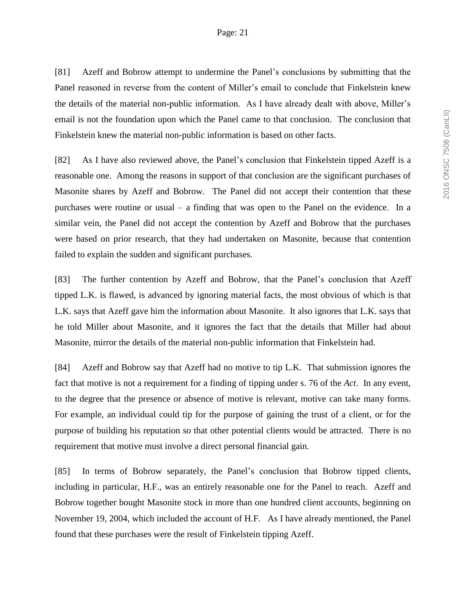[81] Azeff and Bobrow attempt to undermine the Panel's conclusions by submitting that the Panel reasoned in reverse from the content of Miller's email to conclude that Finkelstein knew the details of the material non-public information. As I have already dealt with above, Miller's email is not the foundation upon which the Panel came to that conclusion. The conclusion that Finkelstein knew the material non-public information is based on other facts.

[82] As I have also reviewed above, the Panel's conclusion that Finkelstein tipped Azeff is a reasonable one. Among the reasons in support of that conclusion are the significant purchases of Masonite shares by Azeff and Bobrow. The Panel did not accept their contention that these purchases were routine or usual – a finding that was open to the Panel on the evidence. In a similar vein, the Panel did not accept the contention by Azeff and Bobrow that the purchases were based on prior research, that they had undertaken on Masonite, because that contention failed to explain the sudden and significant purchases.

[83] The further contention by Azeff and Bobrow, that the Panel's conclusion that Azeff tipped L.K. is flawed, is advanced by ignoring material facts, the most obvious of which is that L.K. says that Azeff gave him the information about Masonite. It also ignores that L.K. says that he told Miller about Masonite, and it ignores the fact that the details that Miller had about Masonite, mirror the details of the material non-public information that Finkelstein had.

[84] Azeff and Bobrow say that Azeff had no motive to tip L.K. That submission ignores the fact that motive is not a requirement for a finding of tipping under s. 76 of the *Act*. In any event, to the degree that the presence or absence of motive is relevant, motive can take many forms. For example, an individual could tip for the purpose of gaining the trust of a client, or for the purpose of building his reputation so that other potential clients would be attracted. There is no requirement that motive must involve a direct personal financial gain.

[85] In terms of Bobrow separately, the Panel's conclusion that Bobrow tipped clients, including in particular, H.F., was an entirely reasonable one for the Panel to reach. Azeff and Bobrow together bought Masonite stock in more than one hundred client accounts, beginning on November 19, 2004, which included the account of H.F. As I have already mentioned, the Panel found that these purchases were the result of Finkelstein tipping Azeff.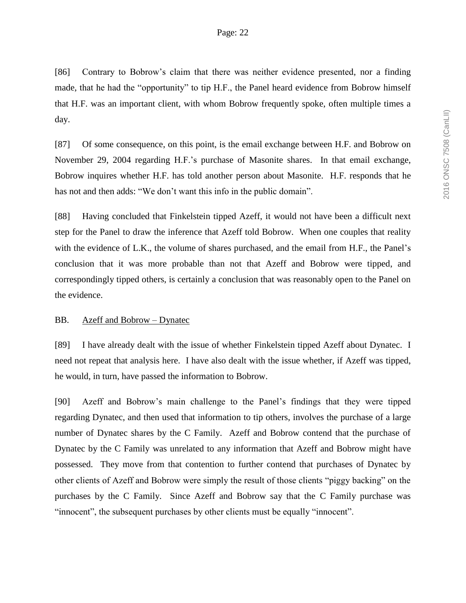[86] Contrary to Bobrow's claim that there was neither evidence presented, nor a finding made, that he had the "opportunity" to tip H.F., the Panel heard evidence from Bobrow himself that H.F. was an important client, with whom Bobrow frequently spoke, often multiple times a day.

[87] Of some consequence, on this point, is the email exchange between H.F. and Bobrow on November 29, 2004 regarding H.F.'s purchase of Masonite shares. In that email exchange, Bobrow inquires whether H.F. has told another person about Masonite. H.F. responds that he has not and then adds: "We don't want this info in the public domain".

[88] Having concluded that Finkelstein tipped Azeff, it would not have been a difficult next step for the Panel to draw the inference that Azeff told Bobrow. When one couples that reality with the evidence of L.K., the volume of shares purchased, and the email from H.F., the Panel's conclusion that it was more probable than not that Azeff and Bobrow were tipped, and correspondingly tipped others, is certainly a conclusion that was reasonably open to the Panel on the evidence.

### BB. Azeff and Bobrow – Dynatec

[89] I have already dealt with the issue of whether Finkelstein tipped Azeff about Dynatec. I need not repeat that analysis here. I have also dealt with the issue whether, if Azeff was tipped, he would, in turn, have passed the information to Bobrow.

[90] Azeff and Bobrow's main challenge to the Panel's findings that they were tipped regarding Dynatec, and then used that information to tip others, involves the purchase of a large number of Dynatec shares by the C Family. Azeff and Bobrow contend that the purchase of Dynatec by the C Family was unrelated to any information that Azeff and Bobrow might have possessed. They move from that contention to further contend that purchases of Dynatec by other clients of Azeff and Bobrow were simply the result of those clients "piggy backing" on the purchases by the C Family. Since Azeff and Bobrow say that the C Family purchase was "innocent", the subsequent purchases by other clients must be equally "innocent".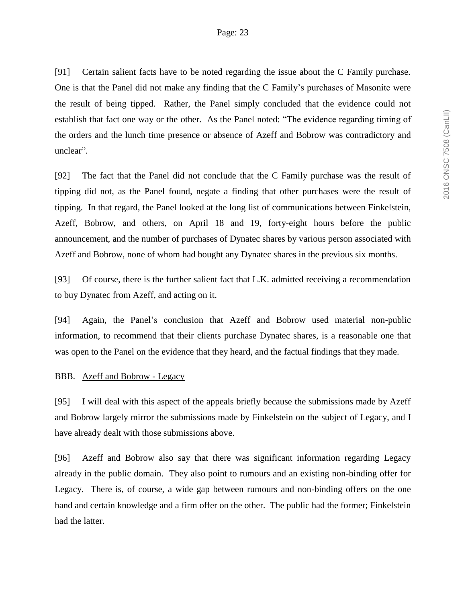[91] Certain salient facts have to be noted regarding the issue about the C Family purchase. One is that the Panel did not make any finding that the C Family's purchases of Masonite were the result of being tipped. Rather, the Panel simply concluded that the evidence could not establish that fact one way or the other. As the Panel noted: "The evidence regarding timing of the orders and the lunch time presence or absence of Azeff and Bobrow was contradictory and unclear".

[92] The fact that the Panel did not conclude that the C Family purchase was the result of tipping did not, as the Panel found, negate a finding that other purchases were the result of tipping. In that regard, the Panel looked at the long list of communications between Finkelstein, Azeff, Bobrow, and others, on April 18 and 19, forty-eight hours before the public announcement, and the number of purchases of Dynatec shares by various person associated with Azeff and Bobrow, none of whom had bought any Dynatec shares in the previous six months.

[93] Of course, there is the further salient fact that L.K. admitted receiving a recommendation to buy Dynatec from Azeff, and acting on it.

[94] Again, the Panel's conclusion that Azeff and Bobrow used material non-public information, to recommend that their clients purchase Dynatec shares, is a reasonable one that was open to the Panel on the evidence that they heard, and the factual findings that they made.

### BBB. Azeff and Bobrow - Legacy

[95] I will deal with this aspect of the appeals briefly because the submissions made by Azeff and Bobrow largely mirror the submissions made by Finkelstein on the subject of Legacy, and I have already dealt with those submissions above.

[96] Azeff and Bobrow also say that there was significant information regarding Legacy already in the public domain. They also point to rumours and an existing non-binding offer for Legacy. There is, of course, a wide gap between rumours and non-binding offers on the one hand and certain knowledge and a firm offer on the other. The public had the former; Finkelstein had the latter.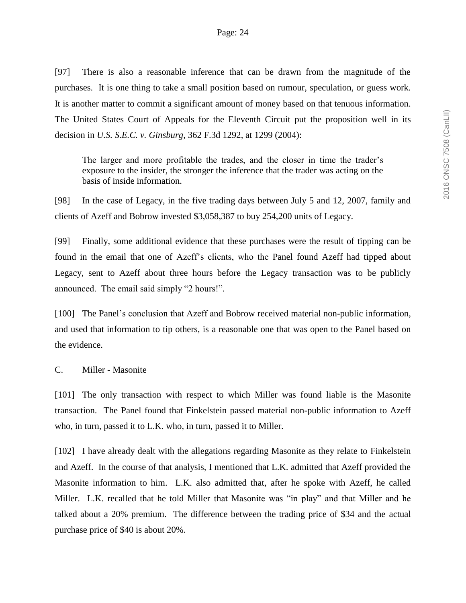[97] There is also a reasonable inference that can be drawn from the magnitude of the purchases. It is one thing to take a small position based on rumour, speculation, or guess work. It is another matter to commit a significant amount of money based on that tenuous information. The United States Court of Appeals for the Eleventh Circuit put the proposition well in its decision in *U.S. S.E.C. v. Ginsburg,* 362 F.3d 1292, at 1299 (2004):

The larger and more profitable the trades, and the closer in time the trader's exposure to the insider, the stronger the inference that the trader was acting on the basis of inside information.

[98] In the case of Legacy, in the five trading days between July 5 and 12, 2007, family and clients of Azeff and Bobrow invested \$3,058,387 to buy 254,200 units of Legacy.

[99] Finally, some additional evidence that these purchases were the result of tipping can be found in the email that one of Azeff's clients, who the Panel found Azeff had tipped about Legacy, sent to Azeff about three hours before the Legacy transaction was to be publicly announced. The email said simply "2 hours!".

[100] The Panel's conclusion that Azeff and Bobrow received material non-public information, and used that information to tip others, is a reasonable one that was open to the Panel based on the evidence.

### C. Miller - Masonite

[101] The only transaction with respect to which Miller was found liable is the Masonite transaction. The Panel found that Finkelstein passed material non-public information to Azeff who, in turn, passed it to L.K. who, in turn, passed it to Miller.

[102] I have already dealt with the allegations regarding Masonite as they relate to Finkelstein and Azeff. In the course of that analysis, I mentioned that L.K. admitted that Azeff provided the Masonite information to him. L.K. also admitted that, after he spoke with Azeff, he called Miller. L.K. recalled that he told Miller that Masonite was "in play" and that Miller and he talked about a 20% premium. The difference between the trading price of \$34 and the actual purchase price of \$40 is about 20%.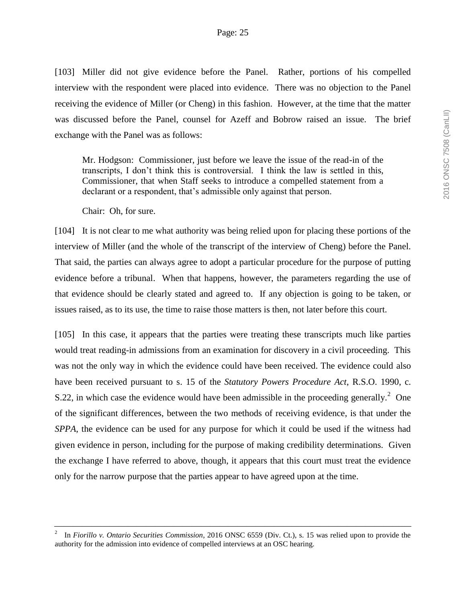[103] Miller did not give evidence before the Panel. Rather, portions of his compelled interview with the respondent were placed into evidence. There was no objection to the Panel receiving the evidence of Miller (or Cheng) in this fashion. However, at the time that the matter was discussed before the Panel, counsel for Azeff and Bobrow raised an issue. The brief exchange with the Panel was as follows:

Mr. Hodgson: Commissioner, just before we leave the issue of the read-in of the transcripts, I don't think this is controversial. I think the law is settled in this, Commissioner, that when Staff seeks to introduce a compelled statement from a declarant or a respondent, that's admissible only against that person.

Chair: Oh, for sure.

[104] It is not clear to me what authority was being relied upon for placing these portions of the interview of Miller (and the whole of the transcript of the interview of Cheng) before the Panel. That said, the parties can always agree to adopt a particular procedure for the purpose of putting evidence before a tribunal. When that happens, however, the parameters regarding the use of that evidence should be clearly stated and agreed to. If any objection is going to be taken, or issues raised, as to its use, the time to raise those matters is then, not later before this court.

[105] In this case, it appears that the parties were treating these transcripts much like parties would treat reading-in admissions from an examination for discovery in a civil proceeding. This was not the only way in which the evidence could have been received. The evidence could also have been received pursuant to s. 15 of the *Statutory Powers Procedure Act*, R.S.O. 1990, c. S.22, in which case the evidence would have been admissible in the proceeding generally.<sup>2</sup> One of the significant differences, between the two methods of receiving evidence, is that under the *SPPA*, the evidence can be used for any purpose for which it could be used if the witness had given evidence in person, including for the purpose of making credibility determinations. Given the exchange I have referred to above, though, it appears that this court must treat the evidence only for the narrow purpose that the parties appear to have agreed upon at the time.

<sup>2</sup> In *Fiorillo v. Ontario Securities Commission*, 2016 ONSC 6559 (Div. Ct.), s. 15 was relied upon to provide the authority for the admission into evidence of compelled interviews at an OSC hearing.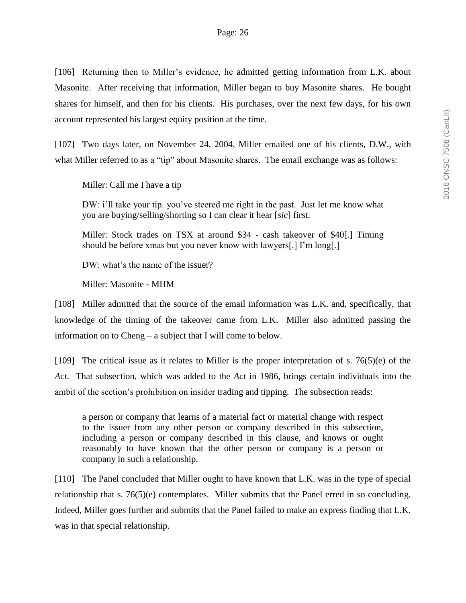[106] Returning then to Miller's evidence, he admitted getting information from L.K. about Masonite. After receiving that information, Miller began to buy Masonite shares. He bought shares for himself, and then for his clients. His purchases, over the next few days, for his own account represented his largest equity position at the time.

[107] Two days later, on November 24, 2004, Miller emailed one of his clients, D.W., with what Miller referred to as a "tip" about Masonite shares. The email exchange was as follows:

Miller: Call me I have a tip

DW: i'll take your tip. you've steered me right in the past. Just let me know what you are buying/selling/shorting so I can clear it hear [*sic*] first.

Miller: Stock trades on TSX at around \$34 - cash takeover of \$40[.] Timing should be before xmas but you never know with lawyers[.] I'm long[.]

DW: what's the name of the issuer?

Miller: Masonite - MHM

[108] Miller admitted that the source of the email information was L.K. and, specifically, that knowledge of the timing of the takeover came from L.K. Miller also admitted passing the information on to Cheng – a subject that I will come to below.

[109] The critical issue as it relates to Miller is the proper interpretation of s. 76(5)(e) of the *Act*. That subsection, which was added to the *Act* in 1986, brings certain individuals into the ambit of the section's prohibition on insider trading and tipping. The subsection reads:

a person or company that learns of a material fact or material change with respect to the issuer from any other person or company described in this subsection, including a person or company described in this clause, and knows or ought reasonably to have known that the other person or company is a person or company in such a relationship.

[110] The Panel concluded that Miller ought to have known that L.K. was in the type of special relationship that s. 76(5)(e) contemplates. Miller submits that the Panel erred in so concluding. Indeed, Miller goes further and submits that the Panel failed to make an express finding that L.K. was in that special relationship.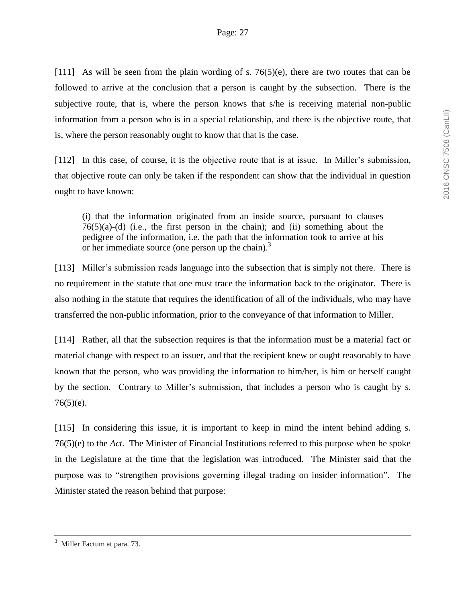[111] As will be seen from the plain wording of s.  $76(5)(e)$ , there are two routes that can be followed to arrive at the conclusion that a person is caught by the subsection. There is the subjective route, that is, where the person knows that s/he is receiving material non-public information from a person who is in a special relationship, and there is the objective route, that is, where the person reasonably ought to know that that is the case.

[112] In this case, of course, it is the objective route that is at issue. In Miller's submission, that objective route can only be taken if the respondent can show that the individual in question ought to have known:

(i) that the information originated from an inside source, pursuant to clauses  $76(5)(a)-(d)$  (i.e., the first person in the chain); and (ii) something about the pedigree of the information, i.e. the path that the information took to arrive at his or her immediate source (one person up the chain).<sup>3</sup>

[113] Miller's submission reads language into the subsection that is simply not there. There is no requirement in the statute that one must trace the information back to the originator. There is also nothing in the statute that requires the identification of all of the individuals, who may have transferred the non-public information, prior to the conveyance of that information to Miller.

[114] Rather, all that the subsection requires is that the information must be a material fact or material change with respect to an issuer, and that the recipient knew or ought reasonably to have known that the person, who was providing the information to him/her, is him or herself caught by the section. Contrary to Miller's submission, that includes a person who is caught by s.  $76(5)(e)$ .

[115] In considering this issue, it is important to keep in mind the intent behind adding s. 76(5)(e) to the *Act*. The Minister of Financial Institutions referred to this purpose when he spoke in the Legislature at the time that the legislation was introduced. The Minister said that the purpose was to "strengthen provisions governing illegal trading on insider information". The Minister stated the reason behind that purpose:

<sup>3</sup> Miller Factum at para. 73.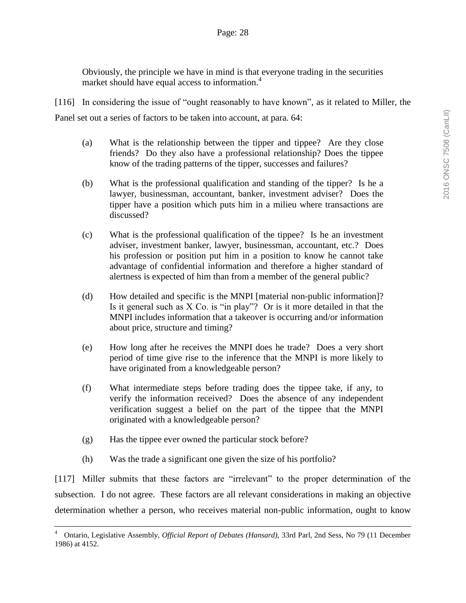Obviously, the principle we have in mind is that everyone trading in the securities market should have equal access to information.<sup>4</sup>

[116] In considering the issue of "ought reasonably to have known", as it related to Miller, the Panel set out a series of factors to be taken into account, at para. 64:

- (a) What is the relationship between the tipper and tippee? Are they close friends? Do they also have a professional relationship? Does the tippee know of the trading patterns of the tipper, successes and failures?
- (b) What is the professional qualification and standing of the tipper? Is he a lawyer, businessman, accountant, banker, investment adviser? Does the tipper have a position which puts him in a milieu where transactions are discussed?
- (c) What is the professional qualification of the tippee? Is he an investment adviser, investment banker, lawyer, businessman, accountant, etc.? Does his profession or position put him in a position to know he cannot take advantage of confidential information and therefore a higher standard of alertness is expected of him than from a member of the general public?
- (d) How detailed and specific is the MNPI [material non-public information]? Is it general such as X Co. is "in play"? Or is it more detailed in that the MNPI includes information that a takeover is occurring and/or information about price, structure and timing?
- (e) How long after he receives the MNPI does he trade? Does a very short period of time give rise to the inference that the MNPI is more likely to have originated from a knowledgeable person?
- (f) What intermediate steps before trading does the tippee take, if any, to verify the information received? Does the absence of any independent verification suggest a belief on the part of the tippee that the MNPI originated with a knowledgeable person?
- (g) Has the tippee ever owned the particular stock before?
- (h) Was the trade a significant one given the size of his portfolio?

[117] Miller submits that these factors are "irrelevant" to the proper determination of the subsection. I do not agree. These factors are all relevant considerations in making an objective determination whether a person, who receives material non-public information, ought to know

<sup>4</sup> Ontario, Legislative Assembly, *Official Report of Debates (Hansard),* 33rd Parl, 2nd Sess, No 79 (11 December 1986) at 4152.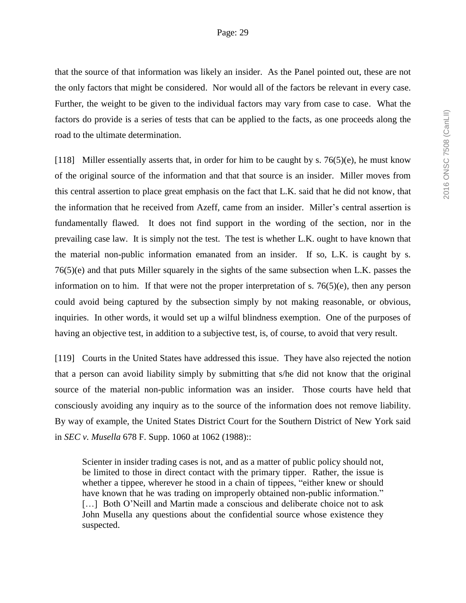that the source of that information was likely an insider. As the Panel pointed out, these are not the only factors that might be considered. Nor would all of the factors be relevant in every case. Further, the weight to be given to the individual factors may vary from case to case. What the factors do provide is a series of tests that can be applied to the facts, as one proceeds along the road to the ultimate determination.

[118] Miller essentially asserts that, in order for him to be caught by s.  $76(5)(e)$ , he must know of the original source of the information and that that source is an insider. Miller moves from this central assertion to place great emphasis on the fact that L.K. said that he did not know, that the information that he received from Azeff, came from an insider. Miller's central assertion is fundamentally flawed. It does not find support in the wording of the section, nor in the prevailing case law. It is simply not the test. The test is whether L.K. ought to have known that the material non-public information emanated from an insider. If so, L.K. is caught by s. 76(5)(e) and that puts Miller squarely in the sights of the same subsection when L.K. passes the information on to him. If that were not the proper interpretation of s. 76(5)(e), then any person could avoid being captured by the subsection simply by not making reasonable, or obvious, inquiries. In other words, it would set up a wilful blindness exemption. One of the purposes of having an objective test, in addition to a subjective test, is, of course, to avoid that very result.

[119] Courts in the United States have addressed this issue. They have also rejected the notion that a person can avoid liability simply by submitting that s/he did not know that the original source of the material non-public information was an insider. Those courts have held that consciously avoiding any inquiry as to the source of the information does not remove liability. By way of example, the United States District Court for the Southern District of New York said in *SEC v. Musella* 678 F. Supp. 1060 at 1062 (1988)::

Scienter in insider trading cases is not, and as a matter of public policy should not, be limited to those in direct contact with the primary tipper. Rather, the issue is whether a tippee, wherever he stood in a chain of tippees, "either knew or should have known that he was trading on improperly obtained non-public information." [...] Both O'Neill and Martin made a conscious and deliberate choice not to ask John Musella any questions about the confidential source whose existence they suspected.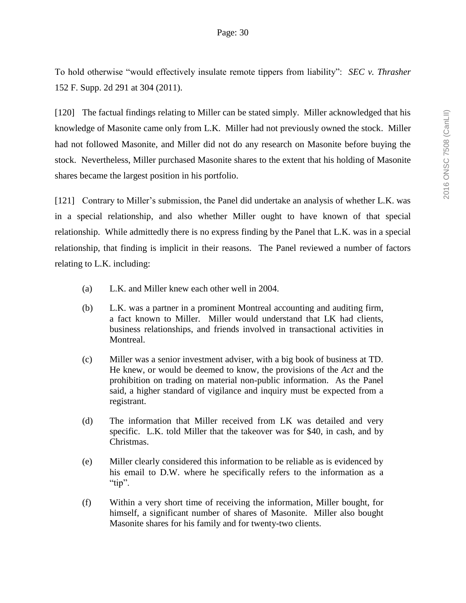To hold otherwise "would effectively insulate remote tippers from liability": *SEC v. Thrasher* 152 F. Supp. 2d 291 at 304 (2011).

[120] The factual findings relating to Miller can be stated simply. Miller acknowledged that his knowledge of Masonite came only from L.K. Miller had not previously owned the stock. Miller had not followed Masonite, and Miller did not do any research on Masonite before buying the stock. Nevertheless, Miller purchased Masonite shares to the extent that his holding of Masonite shares became the largest position in his portfolio.

[121] Contrary to Miller's submission, the Panel did undertake an analysis of whether L.K. was in a special relationship, and also whether Miller ought to have known of that special relationship. While admittedly there is no express finding by the Panel that L.K. was in a special relationship, that finding is implicit in their reasons. The Panel reviewed a number of factors relating to L.K. including:

- (a) L.K. and Miller knew each other well in 2004.
- (b) L.K. was a partner in a prominent Montreal accounting and auditing firm, a fact known to Miller. Miller would understand that LK had clients, business relationships, and friends involved in transactional activities in Montreal.
- (c) Miller was a senior investment adviser, with a big book of business at TD. He knew, or would be deemed to know, the provisions of the *Act* and the prohibition on trading on material non-public information. As the Panel said, a higher standard of vigilance and inquiry must be expected from a registrant.
- (d) The information that Miller received from LK was detailed and very specific. L.K. told Miller that the takeover was for \$40, in cash, and by Christmas.
- (e) Miller clearly considered this information to be reliable as is evidenced by his email to D.W. where he specifically refers to the information as a " $tip$ ".
- (f) Within a very short time of receiving the information, Miller bought, for himself, a significant number of shares of Masonite. Miller also bought Masonite shares for his family and for twenty-two clients.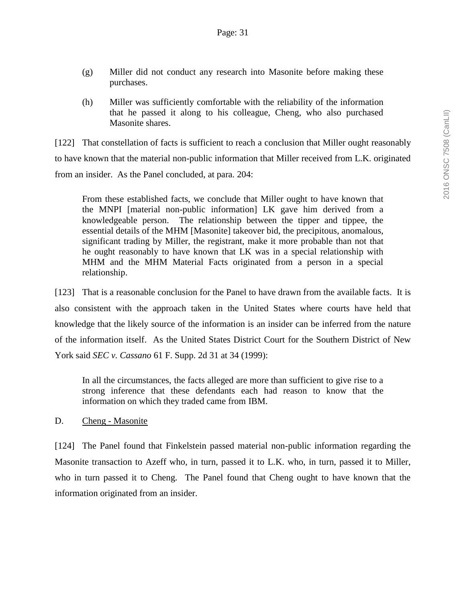- (g) Miller did not conduct any research into Masonite before making these purchases.
- (h) Miller was sufficiently comfortable with the reliability of the information that he passed it along to his colleague, Cheng, who also purchased Masonite shares.

[122] That constellation of facts is sufficient to reach a conclusion that Miller ought reasonably to have known that the material non-public information that Miller received from L.K. originated from an insider. As the Panel concluded, at para. 204:

From these established facts, we conclude that Miller ought to have known that the MNPI [material non-public information] LK gave him derived from a knowledgeable person. The relationship between the tipper and tippee, the essential details of the MHM [Masonite] takeover bid, the precipitous, anomalous, significant trading by Miller, the registrant, make it more probable than not that he ought reasonably to have known that LK was in a special relationship with MHM and the MHM Material Facts originated from a person in a special relationship.

[123] That is a reasonable conclusion for the Panel to have drawn from the available facts. It is also consistent with the approach taken in the United States where courts have held that knowledge that the likely source of the information is an insider can be inferred from the nature of the information itself. As the United States District Court for the Southern District of New York said *SEC v. Cassano* 61 F. Supp. 2d 31 at 34 (1999):

In all the circumstances, the facts alleged are more than sufficient to give rise to a strong inference that these defendants each had reason to know that the information on which they traded came from IBM.

D. Cheng - Masonite

[124] The Panel found that Finkelstein passed material non-public information regarding the Masonite transaction to Azeff who, in turn, passed it to L.K. who, in turn, passed it to Miller, who in turn passed it to Cheng. The Panel found that Cheng ought to have known that the information originated from an insider.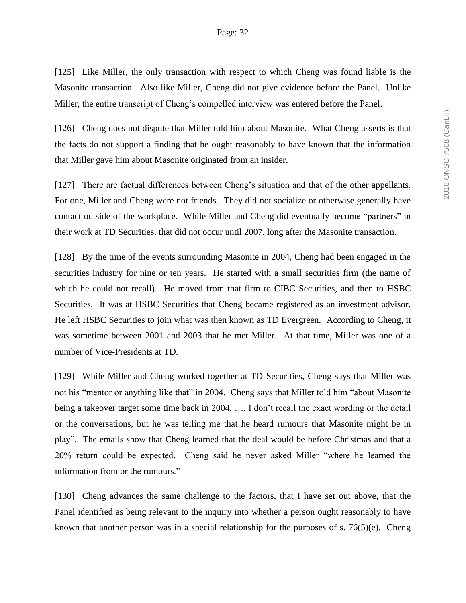[125] Like Miller, the only transaction with respect to which Cheng was found liable is the Masonite transaction. Also like Miller, Cheng did not give evidence before the Panel. Unlike Miller, the entire transcript of Cheng's compelled interview was entered before the Panel.

[126] Cheng does not dispute that Miller told him about Masonite. What Cheng asserts is that the facts do not support a finding that he ought reasonably to have known that the information that Miller gave him about Masonite originated from an insider.

[127] There are factual differences between Cheng's situation and that of the other appellants. For one, Miller and Cheng were not friends. They did not socialize or otherwise generally have contact outside of the workplace. While Miller and Cheng did eventually become "partners" in their work at TD Securities, that did not occur until 2007, long after the Masonite transaction.

[128] By the time of the events surrounding Masonite in 2004, Cheng had been engaged in the securities industry for nine or ten years. He started with a small securities firm (the name of which he could not recall). He moved from that firm to CIBC Securities, and then to HSBC Securities. It was at HSBC Securities that Cheng became registered as an investment advisor. He left HSBC Securities to join what was then known as TD Evergreen. According to Cheng, it was sometime between 2001 and 2003 that he met Miller. At that time, Miller was one of a number of Vice-Presidents at TD.

[129] While Miller and Cheng worked together at TD Securities, Cheng says that Miller was not his "mentor or anything like that" in 2004. Cheng says that Miller told him "about Masonite being a takeover target some time back in 2004. …. I don't recall the exact wording or the detail or the conversations, but he was telling me that he heard rumours that Masonite might be in play". The emails show that Cheng learned that the deal would be before Christmas and that a 20% return could be expected. Cheng said he never asked Miller "where he learned the information from or the rumours."

[130] Cheng advances the same challenge to the factors, that I have set out above, that the Panel identified as being relevant to the inquiry into whether a person ought reasonably to have known that another person was in a special relationship for the purposes of s. 76(5)(e). Cheng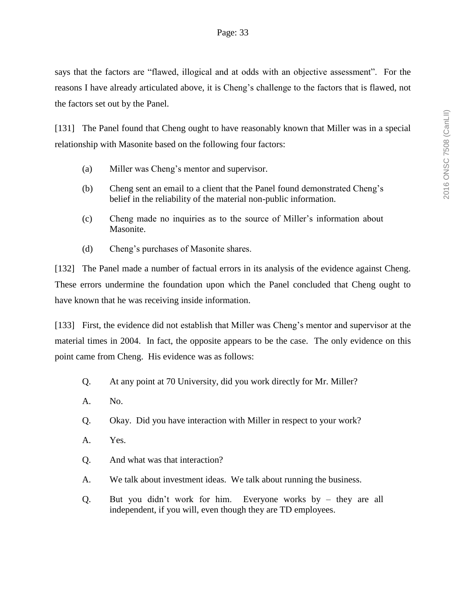says that the factors are "flawed, illogical and at odds with an objective assessment". For the reasons I have already articulated above, it is Cheng's challenge to the factors that is flawed, not the factors set out by the Panel.

[131] The Panel found that Cheng ought to have reasonably known that Miller was in a special relationship with Masonite based on the following four factors:

- (a) Miller was Cheng's mentor and supervisor.
- (b) Cheng sent an email to a client that the Panel found demonstrated Cheng's belief in the reliability of the material non-public information.
- (c) Cheng made no inquiries as to the source of Miller's information about Masonite.
- (d) Cheng's purchases of Masonite shares.

[132] The Panel made a number of factual errors in its analysis of the evidence against Cheng. These errors undermine the foundation upon which the Panel concluded that Cheng ought to have known that he was receiving inside information.

[133] First, the evidence did not establish that Miller was Cheng's mentor and supervisor at the material times in 2004. In fact, the opposite appears to be the case. The only evidence on this point came from Cheng. His evidence was as follows:

- Q. At any point at 70 University, did you work directly for Mr. Miller?
- A. No.
- Q. Okay. Did you have interaction with Miller in respect to your work?
- A. Yes.
- Q. And what was that interaction?
- A. We talk about investment ideas. We talk about running the business.
- Q. But you didn't work for him. Everyone works by they are all independent, if you will, even though they are TD employees.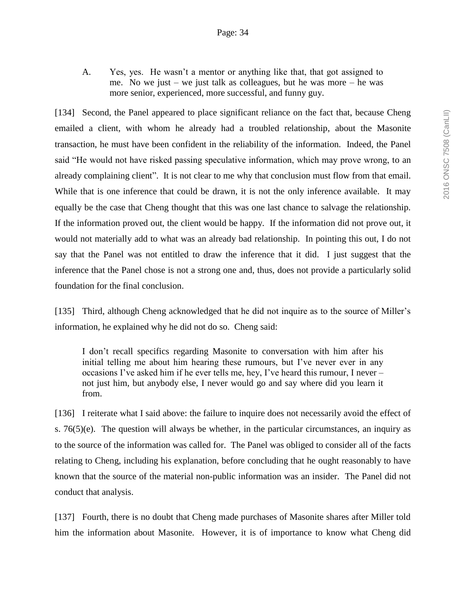A. Yes, yes. He wasn't a mentor or anything like that, that got assigned to me. No we just – we just talk as colleagues, but he was more – he was more senior, experienced, more successful, and funny guy.

[134] Second, the Panel appeared to place significant reliance on the fact that, because Cheng emailed a client, with whom he already had a troubled relationship, about the Masonite transaction, he must have been confident in the reliability of the information. Indeed, the Panel said "He would not have risked passing speculative information, which may prove wrong, to an already complaining client". It is not clear to me why that conclusion must flow from that email. While that is one inference that could be drawn, it is not the only inference available. It may equally be the case that Cheng thought that this was one last chance to salvage the relationship. If the information proved out, the client would be happy. If the information did not prove out, it would not materially add to what was an already bad relationship. In pointing this out, I do not say that the Panel was not entitled to draw the inference that it did. I just suggest that the inference that the Panel chose is not a strong one and, thus, does not provide a particularly solid foundation for the final conclusion.

[135] Third, although Cheng acknowledged that he did not inquire as to the source of Miller's information, he explained why he did not do so. Cheng said:

I don't recall specifics regarding Masonite to conversation with him after his initial telling me about him hearing these rumours, but I've never ever in any occasions I've asked him if he ever tells me, hey, I've heard this rumour, I never – not just him, but anybody else, I never would go and say where did you learn it from.

[136] I reiterate what I said above: the failure to inquire does not necessarily avoid the effect of s. 76(5)(e). The question will always be whether, in the particular circumstances, an inquiry as to the source of the information was called for. The Panel was obliged to consider all of the facts relating to Cheng, including his explanation, before concluding that he ought reasonably to have known that the source of the material non-public information was an insider. The Panel did not conduct that analysis.

[137] Fourth, there is no doubt that Cheng made purchases of Masonite shares after Miller told him the information about Masonite. However, it is of importance to know what Cheng did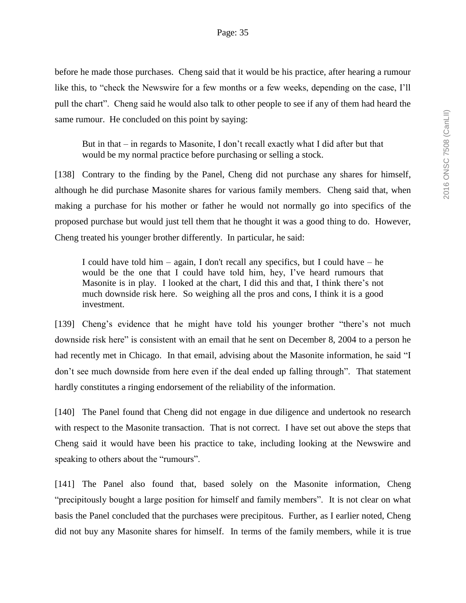before he made those purchases. Cheng said that it would be his practice, after hearing a rumour like this, to "check the Newswire for a few months or a few weeks, depending on the case, I'll pull the chart". Cheng said he would also talk to other people to see if any of them had heard the same rumour. He concluded on this point by saying:

But in that – in regards to Masonite, I don't recall exactly what I did after but that would be my normal practice before purchasing or selling a stock.

[138] Contrary to the finding by the Panel, Cheng did not purchase any shares for himself, although he did purchase Masonite shares for various family members. Cheng said that, when making a purchase for his mother or father he would not normally go into specifics of the proposed purchase but would just tell them that he thought it was a good thing to do. However, Cheng treated his younger brother differently. In particular, he said:

I could have told him – again, I don't recall any specifics, but I could have – he would be the one that I could have told him, hey, I've heard rumours that Masonite is in play. I looked at the chart, I did this and that, I think there's not much downside risk here. So weighing all the pros and cons, I think it is a good investment.

[139] Cheng's evidence that he might have told his younger brother "there's not much downside risk here" is consistent with an email that he sent on December 8, 2004 to a person he had recently met in Chicago. In that email, advising about the Masonite information, he said "I don't see much downside from here even if the deal ended up falling through". That statement hardly constitutes a ringing endorsement of the reliability of the information.

[140] The Panel found that Cheng did not engage in due diligence and undertook no research with respect to the Masonite transaction. That is not correct. I have set out above the steps that Cheng said it would have been his practice to take, including looking at the Newswire and speaking to others about the "rumours".

[141] The Panel also found that, based solely on the Masonite information, Cheng "precipitously bought a large position for himself and family members". It is not clear on what basis the Panel concluded that the purchases were precipitous. Further, as I earlier noted, Cheng did not buy any Masonite shares for himself. In terms of the family members, while it is true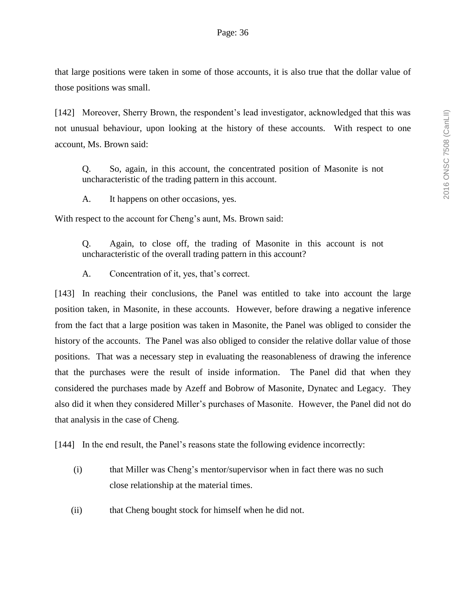that large positions were taken in some of those accounts, it is also true that the dollar value of those positions was small.

[142] Moreover, Sherry Brown, the respondent's lead investigator, acknowledged that this was not unusual behaviour, upon looking at the history of these accounts. With respect to one account, Ms. Brown said:

Q. So, again, in this account, the concentrated position of Masonite is not uncharacteristic of the trading pattern in this account.

A. It happens on other occasions, yes.

With respect to the account for Cheng's aunt, Ms. Brown said:

Q. Again, to close off, the trading of Masonite in this account is not uncharacteristic of the overall trading pattern in this account?

A. Concentration of it, yes, that's correct.

[143] In reaching their conclusions, the Panel was entitled to take into account the large position taken, in Masonite, in these accounts. However, before drawing a negative inference from the fact that a large position was taken in Masonite, the Panel was obliged to consider the history of the accounts. The Panel was also obliged to consider the relative dollar value of those positions. That was a necessary step in evaluating the reasonableness of drawing the inference that the purchases were the result of inside information. The Panel did that when they considered the purchases made by Azeff and Bobrow of Masonite, Dynatec and Legacy. They also did it when they considered Miller's purchases of Masonite. However, the Panel did not do that analysis in the case of Cheng.

[144] In the end result, the Panel's reasons state the following evidence incorrectly:

- (i) that Miller was Cheng's mentor/supervisor when in fact there was no such close relationship at the material times.
- (ii) that Cheng bought stock for himself when he did not.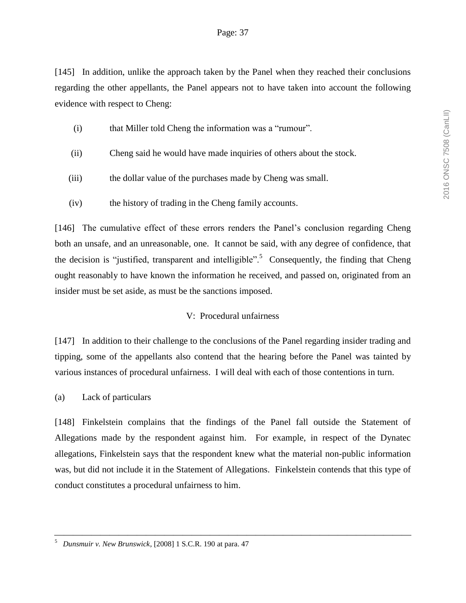[145] In addition, unlike the approach taken by the Panel when they reached their conclusions regarding the other appellants, the Panel appears not to have taken into account the following evidence with respect to Cheng:

- (i) that Miller told Cheng the information was a "rumour".
- (ii) Cheng said he would have made inquiries of others about the stock.
- (iii) the dollar value of the purchases made by Cheng was small.
- (iv) the history of trading in the Cheng family accounts.

[146] The cumulative effect of these errors renders the Panel's conclusion regarding Cheng both an unsafe, and an unreasonable, one. It cannot be said, with any degree of confidence, that the decision is "justified, transparent and intelligible".<sup>5</sup> Consequently, the finding that Cheng ought reasonably to have known the information he received, and passed on, originated from an insider must be set aside, as must be the sanctions imposed.

# V: Procedural unfairness

[147] In addition to their challenge to the conclusions of the Panel regarding insider trading and tipping, some of the appellants also contend that the hearing before the Panel was tainted by various instances of procedural unfairness. I will deal with each of those contentions in turn.

(a) Lack of particulars

[148] Finkelstein complains that the findings of the Panel fall outside the Statement of Allegations made by the respondent against him. For example, in respect of the Dynatec allegations, Finkelstein says that the respondent knew what the material non-public information was, but did not include it in the Statement of Allegations. Finkelstein contends that this type of conduct constitutes a procedural unfairness to him.

<sup>5</sup> *Dunsmuir v. New Brunswick*, [2008] 1 S.C.R. 190 at para. 47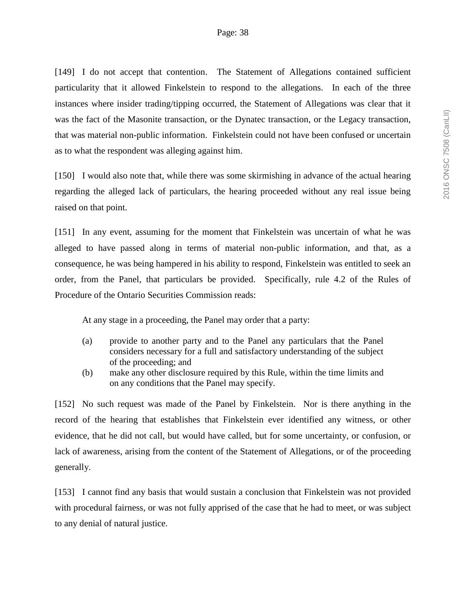[149] I do not accept that contention. The Statement of Allegations contained sufficient particularity that it allowed Finkelstein to respond to the allegations. In each of the three instances where insider trading/tipping occurred, the Statement of Allegations was clear that it was the fact of the Masonite transaction, or the Dynatec transaction, or the Legacy transaction, that was material non-public information. Finkelstein could not have been confused or uncertain as to what the respondent was alleging against him.

[150] I would also note that, while there was some skirmishing in advance of the actual hearing regarding the alleged lack of particulars, the hearing proceeded without any real issue being raised on that point.

[151] In any event, assuming for the moment that Finkelstein was uncertain of what he was alleged to have passed along in terms of material non-public information, and that, as a consequence, he was being hampered in his ability to respond, Finkelstein was entitled to seek an order, from the Panel, that particulars be provided. Specifically, rule 4.2 of the Rules of Procedure of the Ontario Securities Commission reads:

At any stage in a proceeding, the Panel may order that a party:

- (a) provide to another party and to the Panel any particulars that the Panel considers necessary for a full and satisfactory understanding of the subject of the proceeding; and
- (b) make any other disclosure required by this Rule, within the time limits and on any conditions that the Panel may specify.

[152] No such request was made of the Panel by Finkelstein. Nor is there anything in the record of the hearing that establishes that Finkelstein ever identified any witness, or other evidence, that he did not call, but would have called, but for some uncertainty, or confusion, or lack of awareness, arising from the content of the Statement of Allegations, or of the proceeding generally.

[153] I cannot find any basis that would sustain a conclusion that Finkelstein was not provided with procedural fairness, or was not fully apprised of the case that he had to meet, or was subject to any denial of natural justice.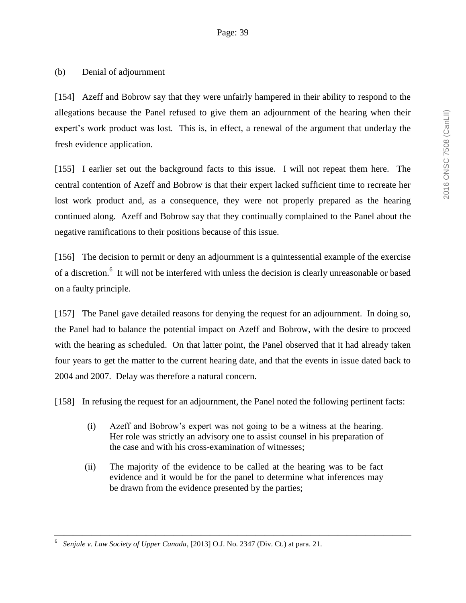# (b) Denial of adjournment

[154] Azeff and Bobrow say that they were unfairly hampered in their ability to respond to the allegations because the Panel refused to give them an adjournment of the hearing when their expert's work product was lost. This is, in effect, a renewal of the argument that underlay the fresh evidence application.

[155] I earlier set out the background facts to this issue. I will not repeat them here. The central contention of Azeff and Bobrow is that their expert lacked sufficient time to recreate her lost work product and, as a consequence, they were not properly prepared as the hearing continued along. Azeff and Bobrow say that they continually complained to the Panel about the negative ramifications to their positions because of this issue.

[156] The decision to permit or deny an adjournment is a quintessential example of the exercise of a discretion.<sup>6</sup> It will not be interfered with unless the decision is clearly unreasonable or based on a faulty principle.

[157] The Panel gave detailed reasons for denying the request for an adjournment. In doing so, the Panel had to balance the potential impact on Azeff and Bobrow, with the desire to proceed with the hearing as scheduled. On that latter point, the Panel observed that it had already taken four years to get the matter to the current hearing date, and that the events in issue dated back to 2004 and 2007. Delay was therefore a natural concern.

[158] In refusing the request for an adjournment, the Panel noted the following pertinent facts:

- (i) Azeff and Bobrow's expert was not going to be a witness at the hearing. Her role was strictly an advisory one to assist counsel in his preparation of the case and with his cross-examination of witnesses;
- (ii) The majority of the evidence to be called at the hearing was to be fact evidence and it would be for the panel to determine what inferences may be drawn from the evidence presented by the parties;

<sup>6</sup> *Senjule v. Law Society of Upper Canada*, [2013] O.J. No. 2347 (Div. Ct.) at para. 21.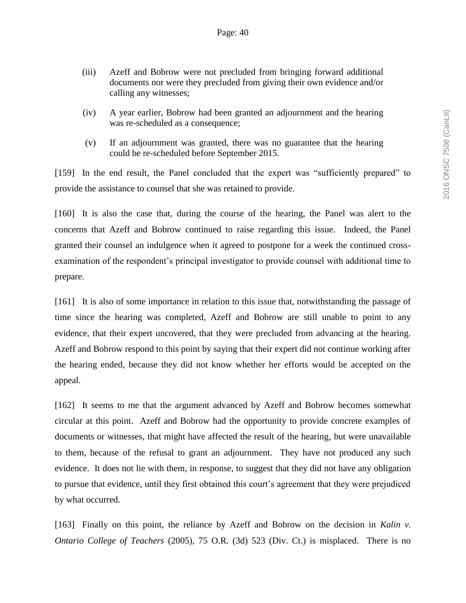- (iii) Azeff and Bobrow were not precluded from bringing forward additional documents nor were they precluded from giving their own evidence and/or calling any witnesses;
- (iv) A year earlier, Bobrow had been granted an adjournment and the hearing was re-scheduled as a consequence;
- (v) If an adjournment was granted, there was no guarantee that the hearing could be re-scheduled before September 2015.

[159] In the end result, the Panel concluded that the expert was "sufficiently prepared" to provide the assistance to counsel that she was retained to provide.

[160] It is also the case that, during the course of the hearing, the Panel was alert to the concerns that Azeff and Bobrow continued to raise regarding this issue. Indeed, the Panel granted their counsel an indulgence when it agreed to postpone for a week the continued crossexamination of the respondent's principal investigator to provide counsel with additional time to prepare.

[161] It is also of some importance in relation to this issue that, notwithstanding the passage of time since the hearing was completed, Azeff and Bobrow are still unable to point to any evidence, that their expert uncovered, that they were precluded from advancing at the hearing. Azeff and Bobrow respond to this point by saying that their expert did not continue working after the hearing ended, because they did not know whether her efforts would be accepted on the appeal.

[162] It seems to me that the argument advanced by Azeff and Bobrow becomes somewhat circular at this point. Azeff and Bobrow had the opportunity to provide concrete examples of documents or witnesses, that might have affected the result of the hearing, but were unavailable to them, because of the refusal to grant an adjournment. They have not produced any such evidence. It does not lie with them, in response, to suggest that they did not have any obligation to pursue that evidence, until they first obtained this court's agreement that they were prejudiced by what occurred.

[163] Finally on this point, the reliance by Azeff and Bobrow on the decision in *Kalin v. Ontario College of Teachers* (2005), 75 O.R. (3d) 523 (Div. Ct.) is misplaced. There is no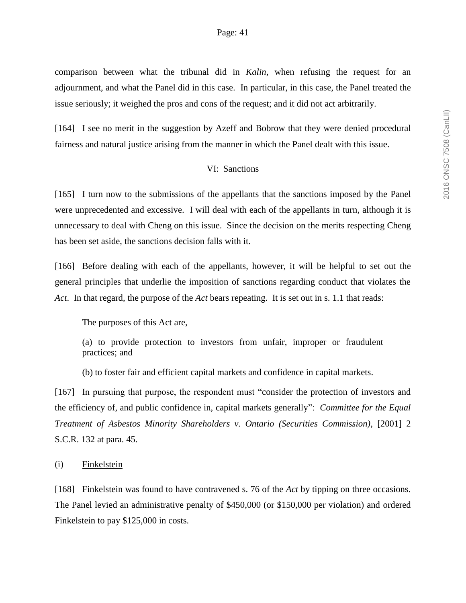comparison between what the tribunal did in *Kalin*, when refusing the request for an adjournment, and what the Panel did in this case. In particular, in this case, the Panel treated the issue seriously; it weighed the pros and cons of the request; and it did not act arbitrarily.

[164] I see no merit in the suggestion by Azeff and Bobrow that they were denied procedural fairness and natural justice arising from the manner in which the Panel dealt with this issue.

#### VI: Sanctions

[165] I turn now to the submissions of the appellants that the sanctions imposed by the Panel were unprecedented and excessive. I will deal with each of the appellants in turn, although it is unnecessary to deal with Cheng on this issue. Since the decision on the merits respecting Cheng has been set aside, the sanctions decision falls with it.

[166] Before dealing with each of the appellants, however, it will be helpful to set out the general principles that underlie the imposition of sanctions regarding conduct that violates the *Act*. In that regard, the purpose of the *Act* bears repeating. It is set out in s. 1.1 that reads:

The purposes of this Act are,

(a) to provide protection to investors from unfair, improper or fraudulent practices; and

(b) to foster fair and efficient capital markets and confidence in capital markets.

[167] In pursuing that purpose, the respondent must "consider the protection of investors and the efficiency of, and public confidence in, capital markets generally": *Committee for the Equal Treatment of Asbestos Minority Shareholders v. Ontario (Securities Commission),* [2001] 2 S.C.R. 132 at para. 45.

(i) Finkelstein

[168] Finkelstein was found to have contravened s. 76 of the *Act* by tipping on three occasions. The Panel levied an administrative penalty of \$450,000 (or \$150,000 per violation) and ordered Finkelstein to pay \$125,000 in costs.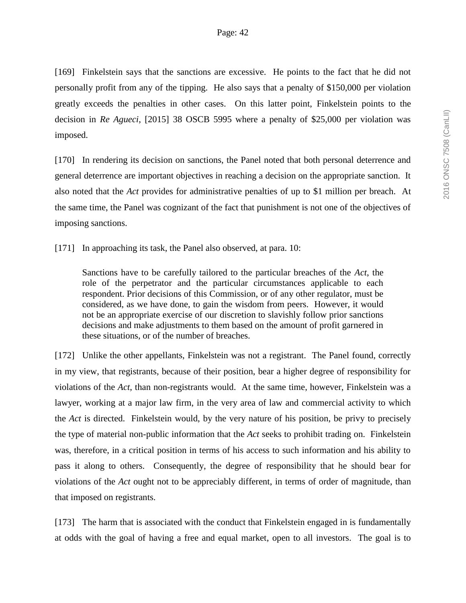[169] Finkelstein says that the sanctions are excessive. He points to the fact that he did not personally profit from any of the tipping. He also says that a penalty of \$150,000 per violation greatly exceeds the penalties in other cases. On this latter point, Finkelstein points to the decision in *Re Agueci*, [2015] 38 OSCB 5995 where a penalty of \$25,000 per violation was imposed.

[170] In rendering its decision on sanctions, the Panel noted that both personal deterrence and general deterrence are important objectives in reaching a decision on the appropriate sanction. It also noted that the *Act* provides for administrative penalties of up to \$1 million per breach. At the same time, the Panel was cognizant of the fact that punishment is not one of the objectives of imposing sanctions.

[171] In approaching its task, the Panel also observed, at para. 10:

Sanctions have to be carefully tailored to the particular breaches of the *Act*, the role of the perpetrator and the particular circumstances applicable to each respondent. Prior decisions of this Commission, or of any other regulator, must be considered, as we have done, to gain the wisdom from peers. However, it would not be an appropriate exercise of our discretion to slavishly follow prior sanctions decisions and make adjustments to them based on the amount of profit garnered in these situations, or of the number of breaches.

[172] Unlike the other appellants, Finkelstein was not a registrant. The Panel found, correctly in my view, that registrants, because of their position, bear a higher degree of responsibility for violations of the *Act*, than non-registrants would. At the same time, however, Finkelstein was a lawyer, working at a major law firm, in the very area of law and commercial activity to which the *Act* is directed. Finkelstein would, by the very nature of his position, be privy to precisely the type of material non-public information that the *Act* seeks to prohibit trading on. Finkelstein was, therefore, in a critical position in terms of his access to such information and his ability to pass it along to others. Consequently, the degree of responsibility that he should bear for violations of the *Act* ought not to be appreciably different, in terms of order of magnitude, than that imposed on registrants.

[173] The harm that is associated with the conduct that Finkelstein engaged in is fundamentally at odds with the goal of having a free and equal market, open to all investors. The goal is to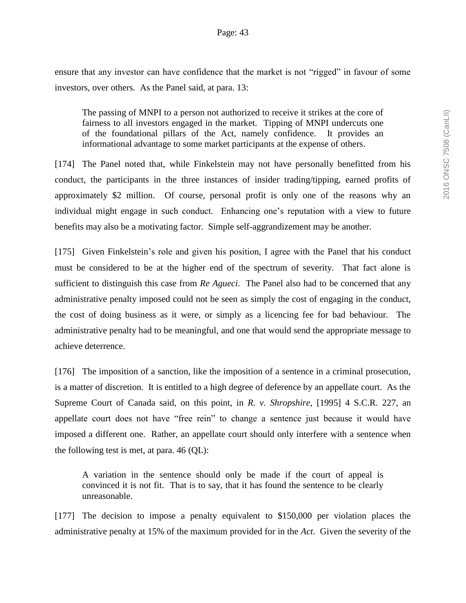ensure that any investor can have confidence that the market is not "rigged" in favour of some investors, over others. As the Panel said, at para. 13:

The passing of MNPI to a person not authorized to receive it strikes at the core of fairness to all investors engaged in the market. Tipping of MNPI undercuts one of the foundational pillars of the Act, namely confidence. It provides an informational advantage to some market participants at the expense of others.

[174] The Panel noted that, while Finkelstein may not have personally benefitted from his conduct, the participants in the three instances of insider trading/tipping, earned profits of approximately \$2 million. Of course, personal profit is only one of the reasons why an individual might engage in such conduct. Enhancing one's reputation with a view to future benefits may also be a motivating factor. Simple self-aggrandizement may be another.

[175] Given Finkelstein's role and given his position, I agree with the Panel that his conduct must be considered to be at the higher end of the spectrum of severity. That fact alone is sufficient to distinguish this case from *Re Agueci*. The Panel also had to be concerned that any administrative penalty imposed could not be seen as simply the cost of engaging in the conduct, the cost of doing business as it were, or simply as a licencing fee for bad behaviour. The administrative penalty had to be meaningful, and one that would send the appropriate message to achieve deterrence.

[176] The imposition of a sanction, like the imposition of a sentence in a criminal prosecution, is a matter of discretion. It is entitled to a high degree of deference by an appellate court. As the Supreme Court of Canada said, on this point, in *R. v. Shropshire*, [1995] 4 S.C.R. 227, an appellate court does not have "free rein" to change a sentence just because it would have imposed a different one. Rather, an appellate court should only interfere with a sentence when the following test is met, at para. 46 (QL):

A variation in the sentence should only be made if the court of appeal is convinced it is not fit. That is to say, that it has found the sentence to be clearly unreasonable.

[177] The decision to impose a penalty equivalent to \$150,000 per violation places the administrative penalty at 15% of the maximum provided for in the *Act*. Given the severity of the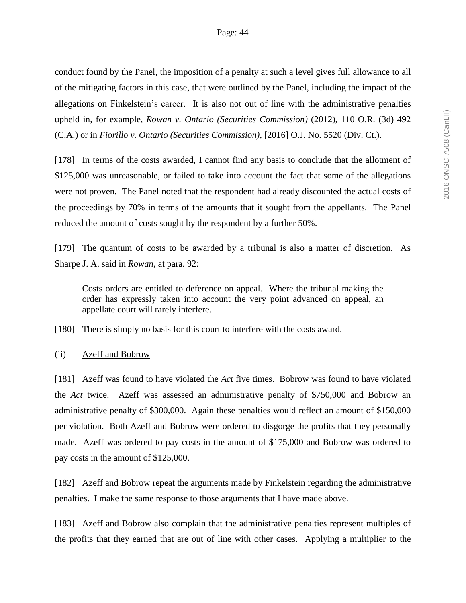conduct found by the Panel, the imposition of a penalty at such a level gives full allowance to all of the mitigating factors in this case, that were outlined by the Panel, including the impact of the allegations on Finkelstein's career. It is also not out of line with the administrative penalties upheld in, for example, *Rowan v. Ontario (Securities Commission)* (2012), 110 O.R. (3d) 492 (C.A.) or in *Fiorillo v. Ontario (Securities Commission)*, [2016] O.J. No. 5520 (Div. Ct.).

[178] In terms of the costs awarded, I cannot find any basis to conclude that the allotment of \$125,000 was unreasonable, or failed to take into account the fact that some of the allegations were not proven. The Panel noted that the respondent had already discounted the actual costs of the proceedings by 70% in terms of the amounts that it sought from the appellants. The Panel reduced the amount of costs sought by the respondent by a further 50%.

[179] The quantum of costs to be awarded by a tribunal is also a matter of discretion. As Sharpe J. A. said in *Rowan*, at para. 92:

Costs orders are entitled to deference on appeal. Where the tribunal making the order has expressly taken into account the very point advanced on appeal, an appellate court will rarely interfere.

[180] There is simply no basis for this court to interfere with the costs award.

(ii) Azeff and Bobrow

[181] Azeff was found to have violated the *Act* five times. Bobrow was found to have violated the *Act* twice. Azeff was assessed an administrative penalty of \$750,000 and Bobrow an administrative penalty of \$300,000. Again these penalties would reflect an amount of \$150,000 per violation. Both Azeff and Bobrow were ordered to disgorge the profits that they personally made. Azeff was ordered to pay costs in the amount of \$175,000 and Bobrow was ordered to pay costs in the amount of \$125,000.

[182] Azeff and Bobrow repeat the arguments made by Finkelstein regarding the administrative penalties. I make the same response to those arguments that I have made above.

[183] Azeff and Bobrow also complain that the administrative penalties represent multiples of the profits that they earned that are out of line with other cases. Applying a multiplier to the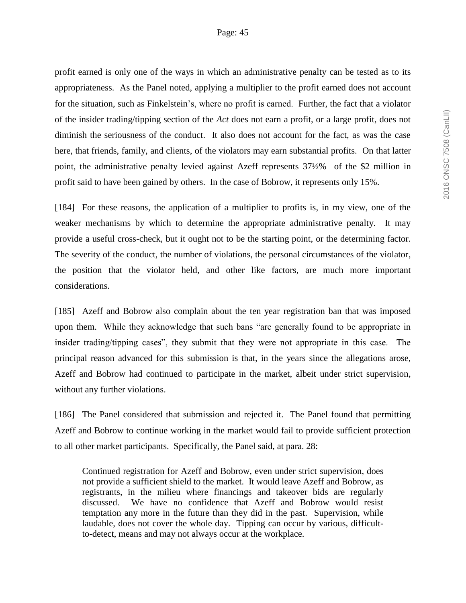profit earned is only one of the ways in which an administrative penalty can be tested as to its appropriateness. As the Panel noted, applying a multiplier to the profit earned does not account for the situation, such as Finkelstein's, where no profit is earned. Further, the fact that a violator of the insider trading/tipping section of the *Act* does not earn a profit, or a large profit, does not diminish the seriousness of the conduct. It also does not account for the fact, as was the case here, that friends, family, and clients, of the violators may earn substantial profits. On that latter point, the administrative penalty levied against Azeff represents 37½% of the \$2 million in profit said to have been gained by others. In the case of Bobrow, it represents only 15%.

[184] For these reasons, the application of a multiplier to profits is, in my view, one of the weaker mechanisms by which to determine the appropriate administrative penalty. It may provide a useful cross-check, but it ought not to be the starting point, or the determining factor. The severity of the conduct, the number of violations, the personal circumstances of the violator, the position that the violator held, and other like factors, are much more important considerations.

[185] Azeff and Bobrow also complain about the ten year registration ban that was imposed upon them. While they acknowledge that such bans "are generally found to be appropriate in insider trading/tipping cases", they submit that they were not appropriate in this case. The principal reason advanced for this submission is that, in the years since the allegations arose, Azeff and Bobrow had continued to participate in the market, albeit under strict supervision, without any further violations.

[186] The Panel considered that submission and rejected it. The Panel found that permitting Azeff and Bobrow to continue working in the market would fail to provide sufficient protection to all other market participants. Specifically, the Panel said, at para. 28:

Continued registration for Azeff and Bobrow, even under strict supervision, does not provide a sufficient shield to the market. It would leave Azeff and Bobrow, as registrants, in the milieu where financings and takeover bids are regularly discussed. We have no confidence that Azeff and Bobrow would resist temptation any more in the future than they did in the past. Supervision, while laudable, does not cover the whole day. Tipping can occur by various, difficultto-detect, means and may not always occur at the workplace.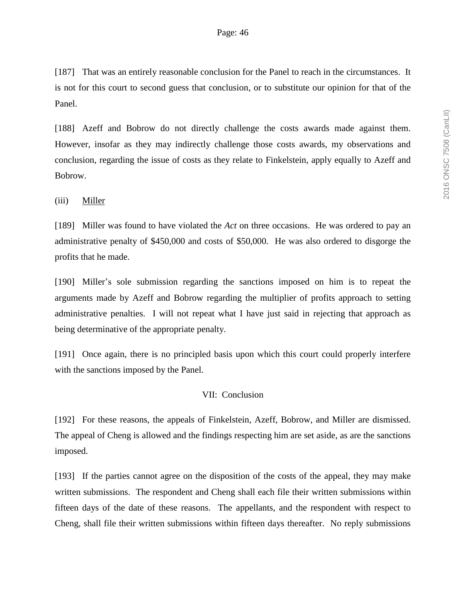[187] That was an entirely reasonable conclusion for the Panel to reach in the circumstances. It is not for this court to second guess that conclusion, or to substitute our opinion for that of the Panel.

[188] Azeff and Bobrow do not directly challenge the costs awards made against them. However, insofar as they may indirectly challenge those costs awards, my observations and conclusion, regarding the issue of costs as they relate to Finkelstein, apply equally to Azeff and Bobrow.

### (iii) Miller

[189] Miller was found to have violated the *Act* on three occasions. He was ordered to pay an administrative penalty of \$450,000 and costs of \$50,000. He was also ordered to disgorge the profits that he made.

[190] Miller's sole submission regarding the sanctions imposed on him is to repeat the arguments made by Azeff and Bobrow regarding the multiplier of profits approach to setting administrative penalties. I will not repeat what I have just said in rejecting that approach as being determinative of the appropriate penalty.

[191] Once again, there is no principled basis upon which this court could properly interfere with the sanctions imposed by the Panel.

### VII: Conclusion

[192] For these reasons, the appeals of Finkelstein, Azeff, Bobrow, and Miller are dismissed. The appeal of Cheng is allowed and the findings respecting him are set aside, as are the sanctions imposed.

[193] If the parties cannot agree on the disposition of the costs of the appeal, they may make written submissions. The respondent and Cheng shall each file their written submissions within fifteen days of the date of these reasons. The appellants, and the respondent with respect to Cheng, shall file their written submissions within fifteen days thereafter. No reply submissions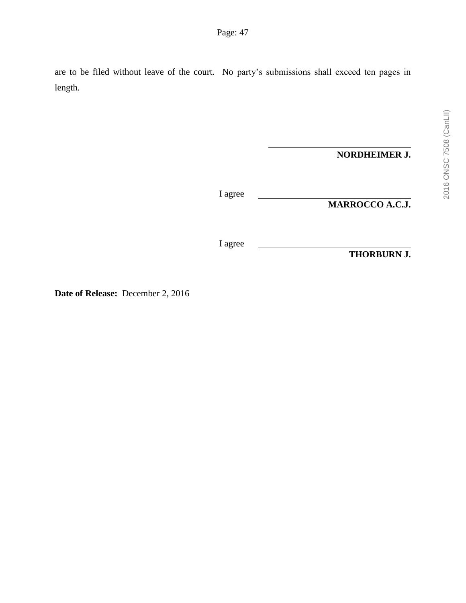are to be filed without leave of the court. No party's submissions shall exceed ten pages in length.

**NORDHEIMER J.**

I agree

**MARROCCO A.C.J.**

I agree

**THORBURN J.**

**Date of Release:** December 2, 2016